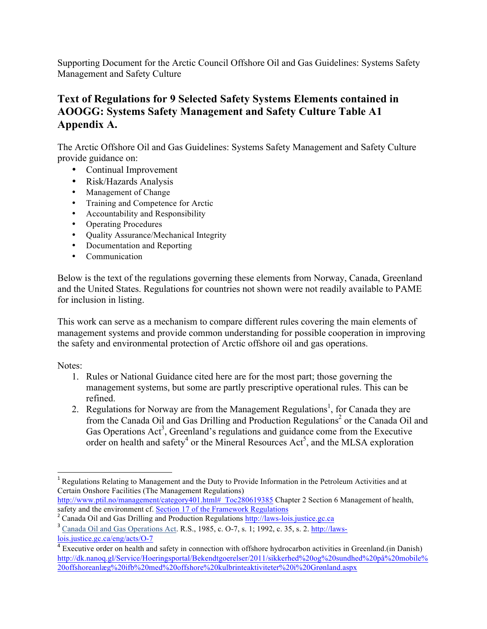Supporting Document for the Arctic Council Offshore Oil and Gas Guidelines: Systems Safety Management and Safety Culture

# **Text of Regulations for 9 Selected Safety Systems Elements contained in AOOGG: Systems Safety Management and Safety Culture Table A1 Appendix A.**

The Arctic Offshore Oil and Gas Guidelines: Systems Safety Management and Safety Culture provide guidance on:

- Continual Improvement
- Risk/Hazards Analysis
- Management of Change
- Training and Competence for Arctic
- Accountability and Responsibility
- Operating Procedures
- Quality Assurance/Mechanical Integrity
- Documentation and Reporting
- Communication

Below is the text of the regulations governing these elements from Norway, Canada, Greenland and the United States. Regulations for countries not shown were not readily available to PAME for inclusion in listing.

This work can serve as a mechanism to compare different rules covering the main elements of management systems and provide common understanding for possible cooperation in improving the safety and environmental protection of Arctic offshore oil and gas operations.

Notes:

- 1. Rules or National Guidance cited here are for the most part; those governing the management systems, but some are partly prescriptive operational rules. This can be refined.
- 2. Regulations for Norway are from the Management Regulations<sup>1</sup>, for Canada they are from the Canada Oil and Gas Drilling and Production Regulations<sup>2</sup> or the Canada Oil and Gas Operations  $Act^3$ , Greenland's regulations and guidance come from the Executive order on health and safety<sup>4</sup> or the Mineral Resources Act<sup>5</sup>, and the MLSA exploration

 

<sup>&</sup>lt;sup>1</sup> Regulations Relating to Management and the Duty to Provide Information in the Petroleum Activities and at Certain Onshore Facilities (The Management Regulations)

http://www.ptil.no/management/category401.html#\_Toc280619385 Chapter 2 Section 6 Management of health, safety and the environment cf. Section 17 of the Framework Regulations

 $\frac{1}{2}$  Canada Oil and Gas Drilling and Production Regulations http://laws-lois.justice.gc.ca <sup>3</sup> Canada Oil and Gas Operations Act. R.S., 1985, c. O-7, s. 1; 1992, c. 35, s. 2. http://laws-

lois.justice.gc.ca/eng/acts/O-7

<sup>&</sup>lt;sup>4</sup> Executive order on health and safety in connection with offshore hydrocarbon activities in Greenland.(in Danish) http://dk.nanoq.gl/Service/Hoeringsportal/Bekendtgoerelser/2011/sikkerhed%20og%20sundhed%20på%20mobile% 20offshoreanlæg%20ifb%20med%20offshore%20kulbrinteaktiviteter%20i%20Grønland.aspx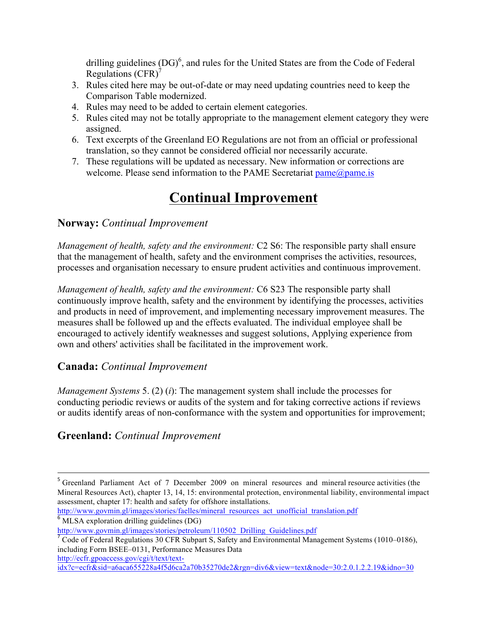drilling guidelines  $(DG)^6$ , and rules for the United States are from the Code of Federal Regulations  $(CFR)^7$ 

- 3. Rules cited here may be out-of-date or may need updating countries need to keep the Comparison Table modernized.
- 4. Rules may need to be added to certain element categories.
- 5. Rules cited may not be totally appropriate to the management element category they were assigned.
- 6. Text excerpts of the Greenland EO Regulations are not from an official or professional translation, so they cannot be considered official nor necessarily accurate.
- 7. These regulations will be updated as necessary. New information or corrections are welcome. Please send information to the PAME Secretariat  $\text{pame}(a)\text{pame}$ . is

# **Continual Improvement**

# **Norway:** *Continual Improvement*

*Management of health, safety and the environment:* C2 S6: The responsible party shall ensure that the management of health, safety and the environment comprises the activities, resources, processes and organisation necessary to ensure prudent activities and continuous improvement.

*Management of health, safety and the environment:* C6 S23 The responsible party shall continuously improve health, safety and the environment by identifying the processes, activities and products in need of improvement, and implementing necessary improvement measures. The measures shall be followed up and the effects evaluated. The individual employee shall be encouraged to actively identify weaknesses and suggest solutions, Applying experience from own and others' activities shall be facilitated in the improvement work.

# **Canada:** *Continual Improvement*

*Management Systems* 5. (2) (*i*): The management system shall include the processes for conducting periodic reviews or audits of the system and for taking corrective actions if reviews or audits identify areas of non-conformance with the system and opportunities for improvement;

# **Greenland:** *Continual Improvement*

<u> 1989 - Andrea Santa Andrea Andrea Andrea Andrea Andrea Andrea Andrea Andrea Andrea Andrea Andrea Andrea Andr</u>

http://www.govmin.gl/images/stories/faelles/mineral\_resources\_act\_unofficial\_translation.pdf  $6$  MLSA exploration drilling guidelines (DG)

http://www.govmin.gl/images/stories/petroleum/110502 Drilling Guidelines.pdf

 $<sup>7</sup>$  Code of Federal Regulations 30 CFR Subpart S, Safety and Environmental Management Systems (1010–0186),</sup> including Form BSEE–0131, Performance Measures Data http://ecfr.gpoaccess.gov/cgi/t/text/text-

<sup>5</sup> Greenland Parliament Act of 7 December 2009 on mineral resources and mineral resource activities (the Mineral Resources Act), chapter 13, 14, 15: environmental protection, environmental liability, environmental impact assessment, chapter 17: health and safety for offshore installations.

idx?c=ecfr&sid=a6aca655228a4f5d6ca2a70b35270de2&rgn=div6&view=text&node=30:2.0.1.2.2.19&idno=30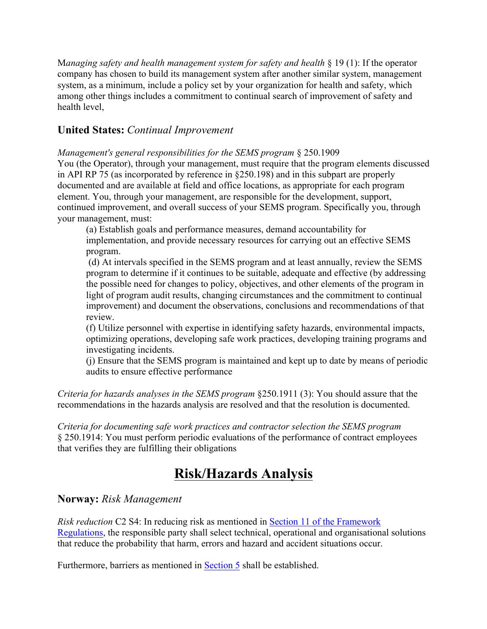M*anaging safety and health management system for safety and health* § 19 (1): If the operator company has chosen to build its management system after another similar system, management system, as a minimum, include a policy set by your organization for health and safety, which among other things includes a commitment to continual search of improvement of safety and health level,

# **United States:** *Continual Improvement*

*Management's general responsibilities for the SEMS program* § 250.1909

You (the Operator), through your management, must require that the program elements discussed in API RP 75 (as incorporated by reference in §250.198) and in this subpart are properly documented and are available at field and office locations, as appropriate for each program element. You, through your management, are responsible for the development, support, continued improvement, and overall success of your SEMS program. Specifically you, through your management, must:

(a) Establish goals and performance measures, demand accountability for implementation, and provide necessary resources for carrying out an effective SEMS program.

(d) At intervals specified in the SEMS program and at least annually, review the SEMS program to determine if it continues to be suitable, adequate and effective (by addressing the possible need for changes to policy, objectives, and other elements of the program in light of program audit results, changing circumstances and the commitment to continual improvement) and document the observations, conclusions and recommendations of that review.

(f) Utilize personnel with expertise in identifying safety hazards, environmental impacts, optimizing operations, developing safe work practices, developing training programs and investigating incidents.

(j) Ensure that the SEMS program is maintained and kept up to date by means of periodic audits to ensure effective performance

*Criteria for hazards analyses in the SEMS program* §250.1911 (3): You should assure that the recommendations in the hazards analysis are resolved and that the resolution is documented.

*Criteria for documenting safe work practices and contractor selection the SEMS program*  § 250.1914: You must perform periodic evaluations of the performance of contract employees that verifies they are fulfilling their obligations

# **Risk/Hazards Analysis**

## **Norway:** *Risk Management*

*Risk reduction* C2 S4: In reducing risk as mentioned in Section 11 of the Framework Regulations, the responsible party shall select technical, operational and organisational solutions that reduce the probability that harm, errors and hazard and accident situations occur.

Furthermore, barriers as mentioned in Section 5 shall be established.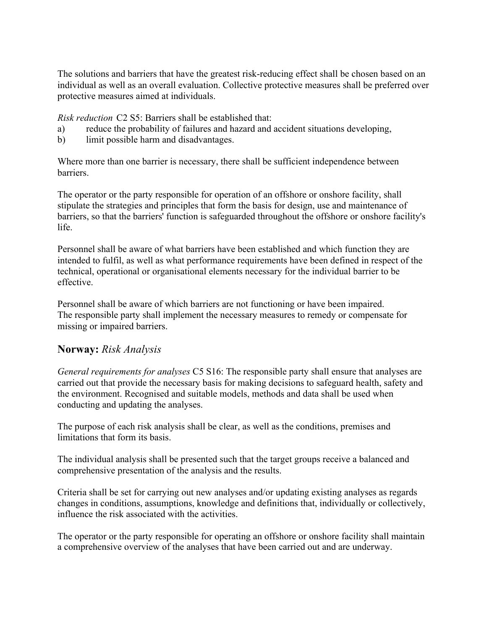The solutions and barriers that have the greatest risk-reducing effect shall be chosen based on an individual as well as an overall evaluation. Collective protective measures shall be preferred over protective measures aimed at individuals.

*Risk reduction* C2 S5: Barriers shall be established that:

- a) reduce the probability of failures and hazard and accident situations developing,
- b) limit possible harm and disadvantages.

Where more than one barrier is necessary, there shall be sufficient independence between barriers.

The operator or the party responsible for operation of an offshore or onshore facility, shall stipulate the strategies and principles that form the basis for design, use and maintenance of barriers, so that the barriers' function is safeguarded throughout the offshore or onshore facility's life.

Personnel shall be aware of what barriers have been established and which function they are intended to fulfil, as well as what performance requirements have been defined in respect of the technical, operational or organisational elements necessary for the individual barrier to be effective.

Personnel shall be aware of which barriers are not functioning or have been impaired. The responsible party shall implement the necessary measures to remedy or compensate for missing or impaired barriers.

# **Norway:** *Risk Analysis*

*General requirements for analyses* C5 S16: The responsible party shall ensure that analyses are carried out that provide the necessary basis for making decisions to safeguard health, safety and the environment. Recognised and suitable models, methods and data shall be used when conducting and updating the analyses.

The purpose of each risk analysis shall be clear, as well as the conditions, premises and limitations that form its basis.

The individual analysis shall be presented such that the target groups receive a balanced and comprehensive presentation of the analysis and the results.

Criteria shall be set for carrying out new analyses and/or updating existing analyses as regards changes in conditions, assumptions, knowledge and definitions that, individually or collectively, influence the risk associated with the activities.

The operator or the party responsible for operating an offshore or onshore facility shall maintain a comprehensive overview of the analyses that have been carried out and are underway.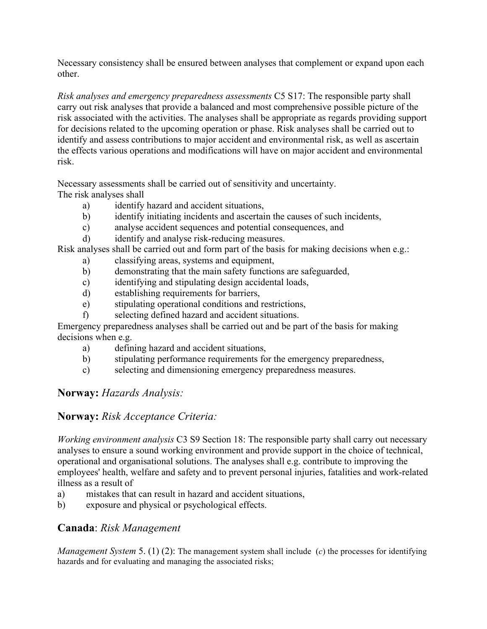Necessary consistency shall be ensured between analyses that complement or expand upon each other.

*Risk analyses and emergency preparedness assessments* C5 S17: The responsible party shall carry out risk analyses that provide a balanced and most comprehensive possible picture of the risk associated with the activities. The analyses shall be appropriate as regards providing support for decisions related to the upcoming operation or phase. Risk analyses shall be carried out to identify and assess contributions to major accident and environmental risk, as well as ascertain the effects various operations and modifications will have on major accident and environmental risk.

Necessary assessments shall be carried out of sensitivity and uncertainty. The risk analyses shall

- - a) identify hazard and accident situations,
	- b) identify initiating incidents and ascertain the causes of such incidents,
	- c) analyse accident sequences and potential consequences, and
	- d) identify and analyse risk-reducing measures.

Risk analyses shall be carried out and form part of the basis for making decisions when e.g.:

- a) classifying areas, systems and equipment,
- b) demonstrating that the main safety functions are safeguarded,
- c) identifying and stipulating design accidental loads,
- d) establishing requirements for barriers,
- e) stipulating operational conditions and restrictions,
- f) selecting defined hazard and accident situations.

Emergency preparedness analyses shall be carried out and be part of the basis for making decisions when e.g.

- a) defining hazard and accident situations,
- b) stipulating performance requirements for the emergency preparedness,
- c) selecting and dimensioning emergency preparedness measures.

**Norway:** *Hazards Analysis:* 

# **Norway:** *Risk Acceptance Criteria:*

*Working environment analysis* C3 S9 Section 18: The responsible party shall carry out necessary analyses to ensure a sound working environment and provide support in the choice of technical, operational and organisational solutions. The analyses shall e.g. contribute to improving the employees' health, welfare and safety and to prevent personal injuries, fatalities and work-related illness as a result of

- a) mistakes that can result in hazard and accident situations,
- b) exposure and physical or psychological effects.

# **Canada**: *Risk Management*

*Management System* 5. (1) (2): The management system shall include (*c*) the processes for identifying hazards and for evaluating and managing the associated risks;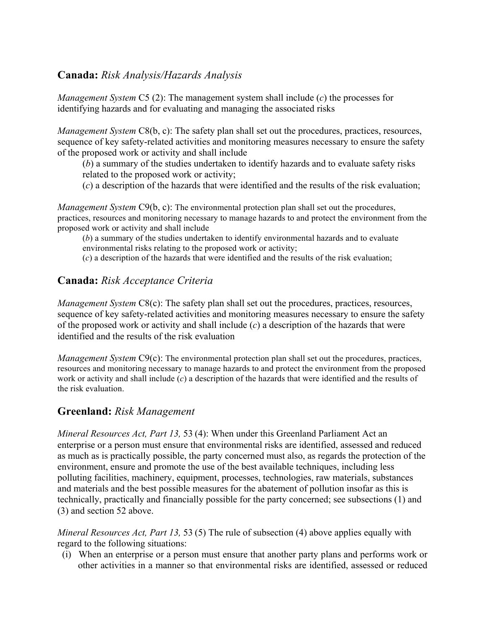# **Canada:** *Risk Analysis/Hazards Analysis*

*Management System* C5 (2): The management system shall include (*c*) the processes for identifying hazards and for evaluating and managing the associated risks

*Management System* C8(b, c): The safety plan shall set out the procedures, practices, resources, sequence of key safety-related activities and monitoring measures necessary to ensure the safety of the proposed work or activity and shall include

(*b*) a summary of the studies undertaken to identify hazards and to evaluate safety risks related to the proposed work or activity;

(*c*) a description of the hazards that were identified and the results of the risk evaluation;

*Management System* C9(b, c): The environmental protection plan shall set out the procedures, practices, resources and monitoring necessary to manage hazards to and protect the environment from the proposed work or activity and shall include

(*b*) a summary of the studies undertaken to identify environmental hazards and to evaluate environmental risks relating to the proposed work or activity;

(*c*) a description of the hazards that were identified and the results of the risk evaluation;

# **Canada:** *Risk Acceptance Criteria*

*Management System* C8(c): The safety plan shall set out the procedures, practices, resources, sequence of key safety-related activities and monitoring measures necessary to ensure the safety of the proposed work or activity and shall include (*c*) a description of the hazards that were identified and the results of the risk evaluation

*Management System* C9(c): The environmental protection plan shall set out the procedures, practices, resources and monitoring necessary to manage hazards to and protect the environment from the proposed work or activity and shall include (*c*) a description of the hazards that were identified and the results of the risk evaluation.

# **Greenland:** *Risk Management*

*Mineral Resources Act, Part 13,* 53 (4): When under this Greenland Parliament Act an enterprise or a person must ensure that environmental risks are identified, assessed and reduced as much as is practically possible, the party concerned must also, as regards the protection of the environment, ensure and promote the use of the best available techniques, including less polluting facilities, machinery, equipment, processes, technologies, raw materials, substances and materials and the best possible measures for the abatement of pollution insofar as this is technically, practically and financially possible for the party concerned; see subsections (1) and (3) and section 52 above.

*Mineral Resources Act, Part 13,* 53 (5) The rule of subsection (4) above applies equally with regard to the following situations:

(i) When an enterprise or a person must ensure that another party plans and performs work or other activities in a manner so that environmental risks are identified, assessed or reduced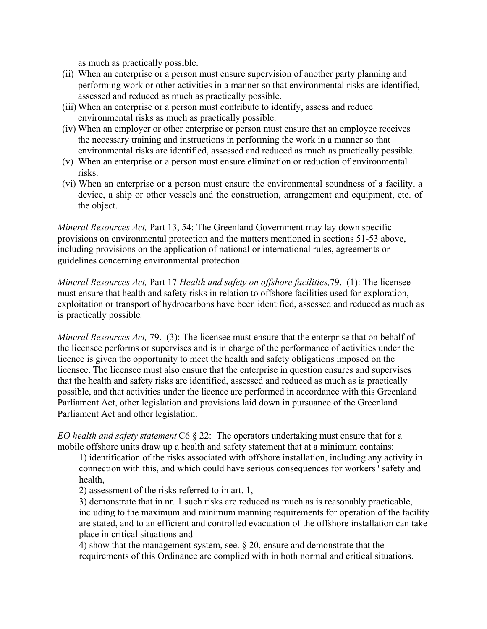as much as practically possible.

- (ii) When an enterprise or a person must ensure supervision of another party planning and performing work or other activities in a manner so that environmental risks are identified, assessed and reduced as much as practically possible.
- (iii)When an enterprise or a person must contribute to identify, assess and reduce environmental risks as much as practically possible.
- (iv) When an employer or other enterprise or person must ensure that an employee receives the necessary training and instructions in performing the work in a manner so that environmental risks are identified, assessed and reduced as much as practically possible.
- (v) When an enterprise or a person must ensure elimination or reduction of environmental risks.
- (vi) When an enterprise or a person must ensure the environmental soundness of a facility, a device, a ship or other vessels and the construction, arrangement and equipment, etc. of the object.

*Mineral Resources Act,* Part 13, 54: The Greenland Government may lay down specific provisions on environmental protection and the matters mentioned in sections 51-53 above, including provisions on the application of national or international rules, agreements or guidelines concerning environmental protection.

*Mineral Resources Act,* Part 17 *Health and safety on offshore facilities,*79.–(1): The licensee must ensure that health and safety risks in relation to offshore facilities used for exploration, exploitation or transport of hydrocarbons have been identified, assessed and reduced as much as is practically possible*.*

*Mineral Resources Act,* 79.–(3): The licensee must ensure that the enterprise that on behalf of the licensee performs or supervises and is in charge of the performance of activities under the licence is given the opportunity to meet the health and safety obligations imposed on the licensee. The licensee must also ensure that the enterprise in question ensures and supervises that the health and safety risks are identified, assessed and reduced as much as is practically possible, and that activities under the licence are performed in accordance with this Greenland Parliament Act, other legislation and provisions laid down in pursuance of the Greenland Parliament Act and other legislation.

*EO health and safety statement* C6 § 22: The operators undertaking must ensure that for a mobile offshore units draw up a health and safety statement that at a minimum contains:

1) identification of the risks associated with offshore installation, including any activity in connection with this, and which could have serious consequences for workers ' safety and health,

2) assessment of the risks referred to in art. 1,

3) demonstrate that in nr. 1 such risks are reduced as much as is reasonably practicable, including to the maximum and minimum manning requirements for operation of the facility are stated, and to an efficient and controlled evacuation of the offshore installation can take place in critical situations and

4) show that the management system, see. § 20, ensure and demonstrate that the requirements of this Ordinance are complied with in both normal and critical situations.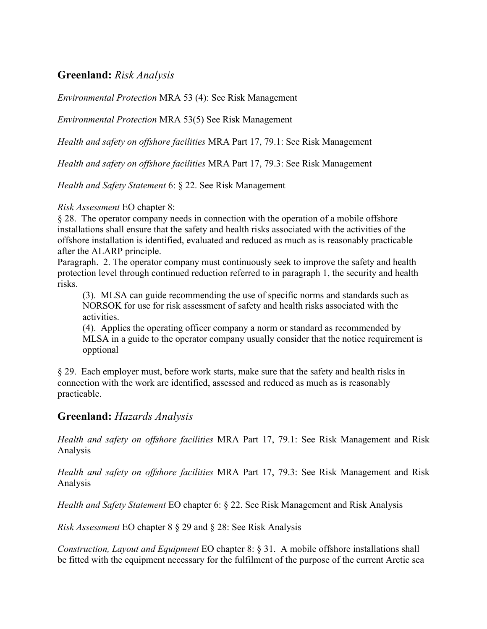## **Greenland:** *Risk Analysis*

*Environmental Protection* MRA 53 (4): See Risk Management

*Environmental Protection* MRA 53(5) See Risk Management

*Health and safety on offshore facilities* MRA Part 17, 79.1: See Risk Management

*Health and safety on offshore facilities* MRA Part 17, 79.3: See Risk Management

*Health and Safety Statement* 6: § 22. See Risk Management

#### *Risk Assessment* EO chapter 8:

§ 28. The operator company needs in connection with the operation of a mobile offshore installations shall ensure that the safety and health risks associated with the activities of the offshore installation is identified, evaluated and reduced as much as is reasonably practicable after the ALARP principle.

Paragraph. 2. The operator company must continuously seek to improve the safety and health protection level through continued reduction referred to in paragraph 1, the security and health risks.

(3). MLSA can guide recommending the use of specific norms and standards such as NORSOK for use for risk assessment of safety and health risks associated with the activities.

(4). Applies the operating officer company a norm or standard as recommended by MLSA in a guide to the operator company usually consider that the notice requirement is opptional

§ 29. Each employer must, before work starts, make sure that the safety and health risks in connection with the work are identified, assessed and reduced as much as is reasonably practicable.

## **Greenland:** *Hazards Analysis*

*Health and safety on offshore facilities* MRA Part 17, 79.1: See Risk Management and Risk Analysis

*Health and safety on offshore facilities* MRA Part 17, 79.3: See Risk Management and Risk Analysis

*Health and Safety Statement* EO chapter 6: § 22. See Risk Management and Risk Analysis

*Risk Assessment* EO chapter 8 § 29 and § 28: See Risk Analysis

*Construction, Layout and Equipment* EO chapter 8: § 31. A mobile offshore installations shall be fitted with the equipment necessary for the fulfilment of the purpose of the current Arctic sea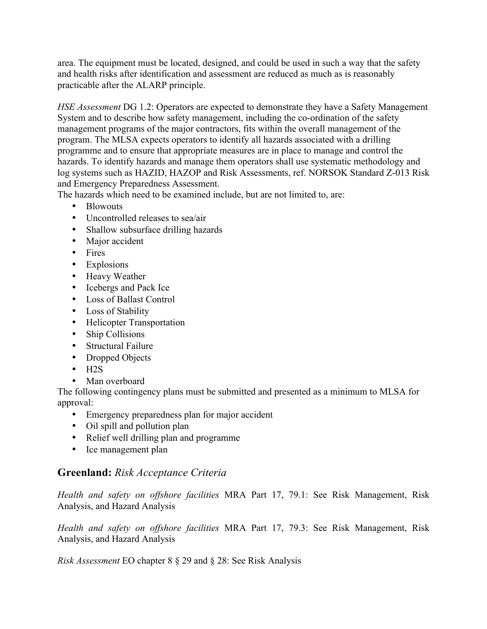area. The equipment must be located, designed, and could be used in such a way that the safety and health risks after identification and assessment are reduced as much as is reasonably practicable after the ALARP principle.

*HSE Assessment* DG 1.2: Operators are expected to demonstrate they have a Safety Management System and to describe how safety management, including the co-ordination of the safety management programs of the major contractors, fits within the overall management of the program. The MLSA expects operators to identify all hazards associated with a drilling programme and to ensure that appropriate measures are in place to manage and control the hazards. To identify hazards and manage them operators shall use systematic methodology and log systems such as HAZID, HAZOP and Risk Assessments, ref. NORSOK Standard Z-013 Risk and Emergency Preparedness Assessment.

The hazards which need to be examined include, but are not limited to, are:

- Blowouts
- Uncontrolled releases to sea/air
- Shallow subsurface drilling hazards
- Major accident
- Fires
- Explosions
- Heavy Weather
- Icebergs and Pack Ice
- Loss of Ballast Control
- Loss of Stability
- Helicopter Transportation
- Ship Collisions
- Structural Failure
- Dropped Objects
- $\bullet$  H<sub>2S</sub>
- Man overboard

The following contingency plans must be submitted and presented as a minimum to MLSA for approval:

- Emergency preparedness plan for major accident
- Oil spill and pollution plan
- Relief well drilling plan and programme
- Ice management plan

## **Greenland:** *Risk Acceptance Criteria*

*Health and safety on offshore facilities* MRA Part 17, 79.1: See Risk Management, Risk Analysis, and Hazard Analysis

*Health and safety on offshore facilities* MRA Part 17, 79.3: See Risk Management, Risk Analysis, and Hazard Analysis

*Risk Assessment* EO chapter 8 § 29 and § 28: See Risk Analysis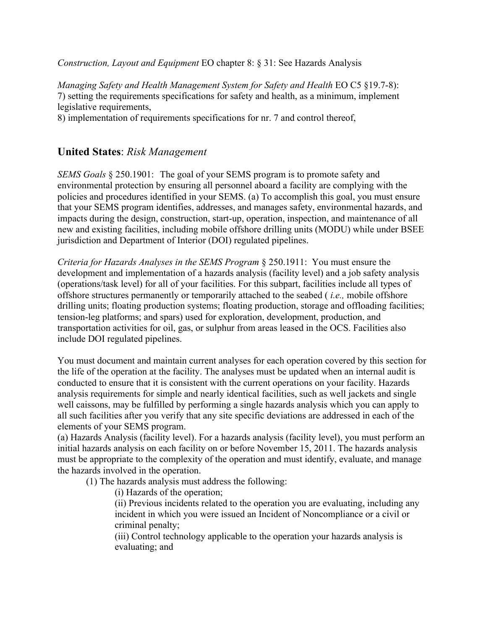*Construction, Layout and Equipment* EO chapter 8: § 31: See Hazards Analysis

*Managing Safety and Health Management System for Safety and Health* EO C5 §19.7-8): 7) setting the requirements specifications for safety and health, as a minimum, implement legislative requirements,

8) implementation of requirements specifications for nr. 7 and control thereof,

## **United States**: *Risk Management*

*SEMS Goals* § 250.1901: The goal of your SEMS program is to promote safety and environmental protection by ensuring all personnel aboard a facility are complying with the policies and procedures identified in your SEMS. (a) To accomplish this goal, you must ensure that your SEMS program identifies, addresses, and manages safety, environmental hazards, and impacts during the design, construction, start-up, operation, inspection, and maintenance of all new and existing facilities, including mobile offshore drilling units (MODU) while under BSEE jurisdiction and Department of Interior (DOI) regulated pipelines.

*Criteria for Hazards Analyses in the SEMS Program* § 250.1911: You must ensure the development and implementation of a hazards analysis (facility level) and a job safety analysis (operations/task level) for all of your facilities. For this subpart, facilities include all types of offshore structures permanently or temporarily attached to the seabed ( *i.e.,* mobile offshore drilling units; floating production systems; floating production, storage and offloading facilities; tension-leg platforms; and spars) used for exploration, development, production, and transportation activities for oil, gas, or sulphur from areas leased in the OCS. Facilities also include DOI regulated pipelines.

You must document and maintain current analyses for each operation covered by this section for the life of the operation at the facility. The analyses must be updated when an internal audit is conducted to ensure that it is consistent with the current operations on your facility. Hazards analysis requirements for simple and nearly identical facilities, such as well jackets and single well caissons, may be fulfilled by performing a single hazards analysis which you can apply to all such facilities after you verify that any site specific deviations are addressed in each of the elements of your SEMS program.

(a) Hazards Analysis (facility level). For a hazards analysis (facility level), you must perform an initial hazards analysis on each facility on or before November 15, 2011. The hazards analysis must be appropriate to the complexity of the operation and must identify, evaluate, and manage the hazards involved in the operation.

(1) The hazards analysis must address the following:

(i) Hazards of the operation;

(ii) Previous incidents related to the operation you are evaluating, including any incident in which you were issued an Incident of Noncompliance or a civil or criminal penalty;

(iii) Control technology applicable to the operation your hazards analysis is evaluating; and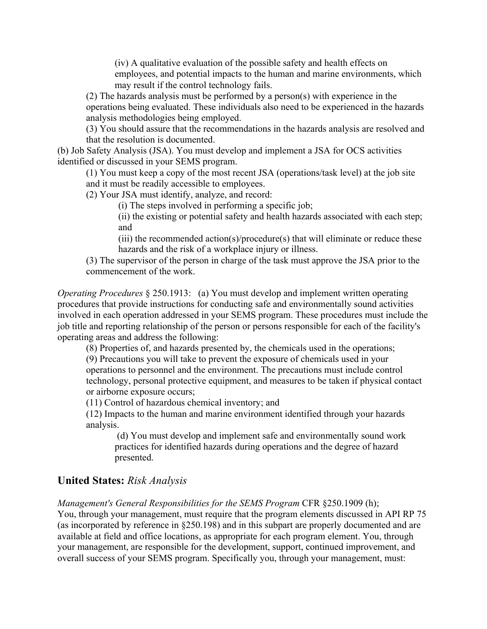(iv) A qualitative evaluation of the possible safety and health effects on employees, and potential impacts to the human and marine environments, which may result if the control technology fails.

(2) The hazards analysis must be performed by a person(s) with experience in the operations being evaluated. These individuals also need to be experienced in the hazards analysis methodologies being employed.

(3) You should assure that the recommendations in the hazards analysis are resolved and that the resolution is documented.

(b) Job Safety Analysis (JSA). You must develop and implement a JSA for OCS activities identified or discussed in your SEMS program.

(1) You must keep a copy of the most recent JSA (operations/task level) at the job site and it must be readily accessible to employees.

(2) Your JSA must identify, analyze, and record:

(i) The steps involved in performing a specific job;

(ii) the existing or potential safety and health hazards associated with each step; and

(iii) the recommended action(s)/procedure(s) that will eliminate or reduce these hazards and the risk of a workplace injury or illness.

(3) The supervisor of the person in charge of the task must approve the JSA prior to the commencement of the work.

*Operating Procedures* § 250.1913: (a) You must develop and implement written operating procedures that provide instructions for conducting safe and environmentally sound activities involved in each operation addressed in your SEMS program. These procedures must include the job title and reporting relationship of the person or persons responsible for each of the facility's operating areas and address the following:

(8) Properties of, and hazards presented by, the chemicals used in the operations;

(9) Precautions you will take to prevent the exposure of chemicals used in your operations to personnel and the environment. The precautions must include control technology, personal protective equipment, and measures to be taken if physical contact or airborne exposure occurs;

(11) Control of hazardous chemical inventory; and

(12) Impacts to the human and marine environment identified through your hazards analysis.

(d) You must develop and implement safe and environmentally sound work practices for identified hazards during operations and the degree of hazard presented.

# **United States:** *Risk Analysis*

## *Management's General Responsibilities for the SEMS Program* CFR §250.1909 (h);

You, through your management, must require that the program elements discussed in API RP 75 (as incorporated by reference in §250.198) and in this subpart are properly documented and are available at field and office locations, as appropriate for each program element. You, through your management, are responsible for the development, support, continued improvement, and overall success of your SEMS program. Specifically you, through your management, must: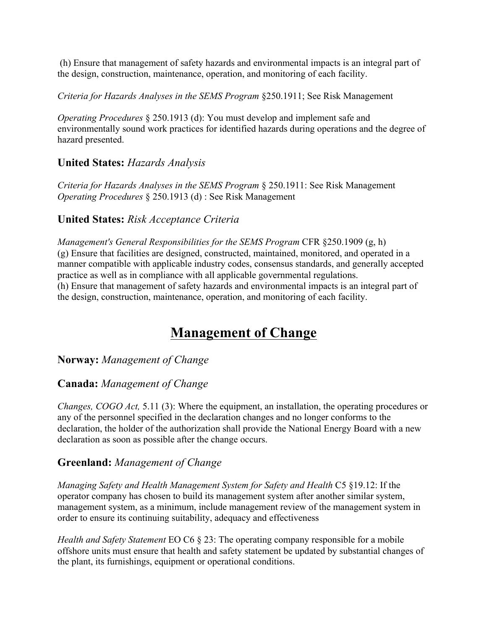(h) Ensure that management of safety hazards and environmental impacts is an integral part of the design, construction, maintenance, operation, and monitoring of each facility.

*Criteria for Hazards Analyses in the SEMS Program* §250.1911; See Risk Management

*Operating Procedures* § 250.1913 (d): You must develop and implement safe and environmentally sound work practices for identified hazards during operations and the degree of hazard presented.

# **United States:** *Hazards Analysis*

*Criteria for Hazards Analyses in the SEMS Program* § 250.1911: See Risk Management *Operating Procedures* § 250.1913 (d) : See Risk Management

# **United States:** *Risk Acceptance Criteria*

*Management's General Responsibilities for the SEMS Program* CFR §250.1909 (g, h) (g) Ensure that facilities are designed, constructed, maintained, monitored, and operated in a manner compatible with applicable industry codes, consensus standards, and generally accepted practice as well as in compliance with all applicable governmental regulations. (h) Ensure that management of safety hazards and environmental impacts is an integral part of the design, construction, maintenance, operation, and monitoring of each facility.

# **Management of Change**

## **Norway:** *Management of Change*

# **Canada:** *Management of Change*

*Changes, COGO Act,* 5.11 (3): Where the equipment, an installation, the operating procedures or any of the personnel specified in the declaration changes and no longer conforms to the declaration, the holder of the authorization shall provide the National Energy Board with a new declaration as soon as possible after the change occurs.

# **Greenland:** *Management of Change*

*Managing Safety and Health Management System for Safety and Health* C5 §19.12: If the operator company has chosen to build its management system after another similar system, management system, as a minimum, include management review of the management system in order to ensure its continuing suitability, adequacy and effectiveness

*Health and Safety Statement* EO C6 § 23: The operating company responsible for a mobile offshore units must ensure that health and safety statement be updated by substantial changes of the plant, its furnishings, equipment or operational conditions.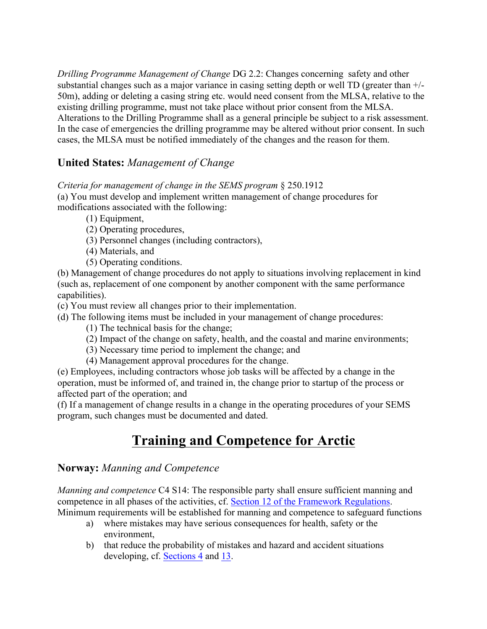*Drilling Programme Management of Change* DG 2.2: Changes concerning safety and other substantial changes such as a major variance in casing setting depth or well TD (greater than +/- 50m), adding or deleting a casing string etc. would need consent from the MLSA, relative to the existing drilling programme, must not take place without prior consent from the MLSA. Alterations to the Drilling Programme shall as a general principle be subject to a risk assessment. In the case of emergencies the drilling programme may be altered without prior consent. In such cases, the MLSA must be notified immediately of the changes and the reason for them.

# **United States:** *Management of Change*

*Criteria for management of change in the SEMS program* § 250.1912

(a) You must develop and implement written management of change procedures for modifications associated with the following:

(1) Equipment,

- (2) Operating procedures,
- (3) Personnel changes (including contractors),
- (4) Materials, and
- (5) Operating conditions.

(b) Management of change procedures do not apply to situations involving replacement in kind (such as, replacement of one component by another component with the same performance capabilities).

(c) You must review all changes prior to their implementation.

(d) The following items must be included in your management of change procedures:

- (1) The technical basis for the change;
- (2) Impact of the change on safety, health, and the coastal and marine environments;
- (3) Necessary time period to implement the change; and
- (4) Management approval procedures for the change.

(e) Employees, including contractors whose job tasks will be affected by a change in the operation, must be informed of, and trained in, the change prior to startup of the process or affected part of the operation; and

(f) If a management of change results in a change in the operating procedures of your SEMS program, such changes must be documented and dated.

# **Training and Competence for Arctic**

# **Norway:** *Manning and Competence*

*Manning and competence* C4 S14: The responsible party shall ensure sufficient manning and competence in all phases of the activities, cf. Section 12 of the Framework Regulations. Minimum requirements will be established for manning and competence to safeguard functions

- a) where mistakes may have serious consequences for health, safety or the environment,
- b) that reduce the probability of mistakes and hazard and accident situations developing, cf. Sections 4 and 13.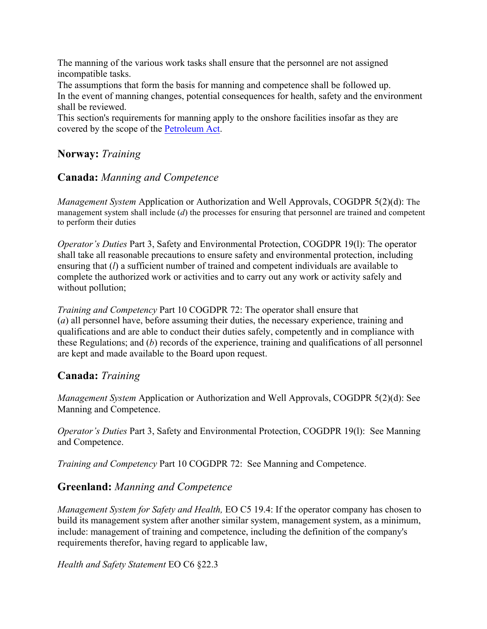The manning of the various work tasks shall ensure that the personnel are not assigned incompatible tasks.

The assumptions that form the basis for manning and competence shall be followed up. In the event of manning changes, potential consequences for health, safety and the environment shall be reviewed.

This section's requirements for manning apply to the onshore facilities insofar as they are covered by the scope of the Petroleum Act.

# **Norway:** *Training*

# **Canada:** *Manning and Competence*

*Management System* Application or Authorization and Well Approvals, COGDPR 5(2)(d): The management system shall include (*d*) the processes for ensuring that personnel are trained and competent to perform their duties

*Operator's Duties* Part 3, Safety and Environmental Protection, COGDPR 19(l): The operator shall take all reasonable precautions to ensure safety and environmental protection, including ensuring that (*l*) a sufficient number of trained and competent individuals are available to complete the authorized work or activities and to carry out any work or activity safely and without pollution;

*Training and Competency* Part 10 COGDPR 72: The operator shall ensure that (*a*) all personnel have, before assuming their duties, the necessary experience, training and qualifications and are able to conduct their duties safely, competently and in compliance with these Regulations; and (*b*) records of the experience, training and qualifications of all personnel are kept and made available to the Board upon request.

# **Canada:** *Training*

*Management System* Application or Authorization and Well Approvals, COGDPR 5(2)(d): See Manning and Competence.

*Operator's Duties* Part 3, Safety and Environmental Protection, COGDPR 19(l): See Manning and Competence.

*Training and Competency* Part 10 COGDPR 72: See Manning and Competence.

# **Greenland:** *Manning and Competence*

*Management System for Safety and Health, EO C5 19.4: If the operator company has chosen to* build its management system after another similar system, management system, as a minimum, include: management of training and competence, including the definition of the company's requirements therefor, having regard to applicable law,

*Health and Safety Statement* EO C6 §22.3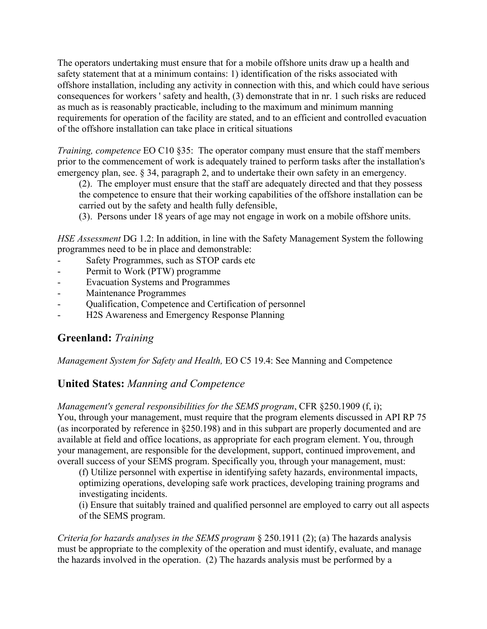The operators undertaking must ensure that for a mobile offshore units draw up a health and safety statement that at a minimum contains: 1) identification of the risks associated with offshore installation, including any activity in connection with this, and which could have serious consequences for workers ' safety and health, (3) demonstrate that in nr. 1 such risks are reduced as much as is reasonably practicable, including to the maximum and minimum manning requirements for operation of the facility are stated, and to an efficient and controlled evacuation of the offshore installation can take place in critical situations

*Training, competence* EO C10  $\S$ 35: The operator company must ensure that the staff members prior to the commencement of work is adequately trained to perform tasks after the installation's emergency plan, see. § 34, paragraph 2, and to undertake their own safety in an emergency.

(2). The employer must ensure that the staff are adequately directed and that they possess the competence to ensure that their working capabilities of the offshore installation can be carried out by the safety and health fully defensible,

(3). Persons under 18 years of age may not engage in work on a mobile offshore units.

*HSE Assessment* DG 1.2: In addition, in line with the Safety Management System the following programmes need to be in place and demonstrable:

- Safety Programmes, such as STOP cards etc
- Permit to Work (PTW) programme
- Evacuation Systems and Programmes
- Maintenance Programmes
- Qualification, Competence and Certification of personnel
- H2S Awareness and Emergency Response Planning

# **Greenland:** *Training*

*Management System for Safety and Health,* EO C5 19.4: See Manning and Competence

# **United States:** *Manning and Competence*

*Management's general responsibilities for the SEMS program*, CFR §250.1909 (f, i);

You, through your management, must require that the program elements discussed in API RP 75 (as incorporated by reference in §250.198) and in this subpart are properly documented and are available at field and office locations, as appropriate for each program element. You, through your management, are responsible for the development, support, continued improvement, and overall success of your SEMS program. Specifically you, through your management, must:

(f) Utilize personnel with expertise in identifying safety hazards, environmental impacts, optimizing operations, developing safe work practices, developing training programs and investigating incidents.

(i) Ensure that suitably trained and qualified personnel are employed to carry out all aspects of the SEMS program.

*Criteria for hazards analyses in the SEMS program* § 250.1911 (2); (a) The hazards analysis must be appropriate to the complexity of the operation and must identify, evaluate, and manage the hazards involved in the operation. (2) The hazards analysis must be performed by a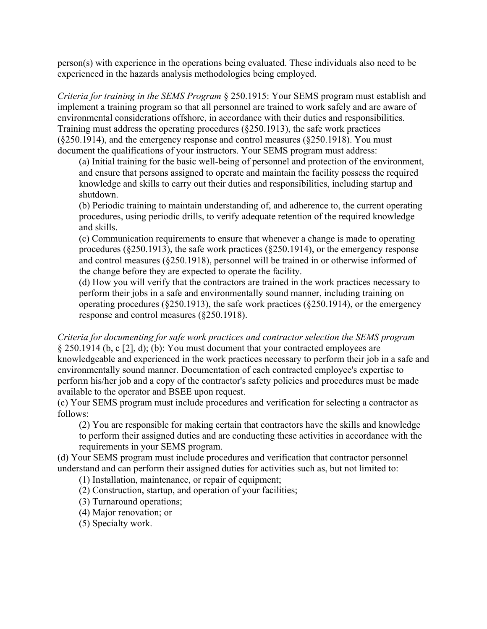person(s) with experience in the operations being evaluated. These individuals also need to be experienced in the hazards analysis methodologies being employed.

*Criteria for training in the SEMS Program* § 250.1915: Your SEMS program must establish and implement a training program so that all personnel are trained to work safely and are aware of environmental considerations offshore, in accordance with their duties and responsibilities. Training must address the operating procedures (§250.1913), the safe work practices (§250.1914), and the emergency response and control measures (§250.1918). You must document the qualifications of your instructors. Your SEMS program must address:

(a) Initial training for the basic well-being of personnel and protection of the environment, and ensure that persons assigned to operate and maintain the facility possess the required knowledge and skills to carry out their duties and responsibilities, including startup and shutdown.

(b) Periodic training to maintain understanding of, and adherence to, the current operating procedures, using periodic drills, to verify adequate retention of the required knowledge and skills.

(c) Communication requirements to ensure that whenever a change is made to operating procedures (§250.1913), the safe work practices (§250.1914), or the emergency response and control measures (§250.1918), personnel will be trained in or otherwise informed of the change before they are expected to operate the facility.

(d) How you will verify that the contractors are trained in the work practices necessary to perform their jobs in a safe and environmentally sound manner, including training on operating procedures ( $\S 250.1913$ ), the safe work practices ( $\S 250.1914$ ), or the emergency response and control measures (§250.1918).

*Criteria for documenting for safe work practices and contractor selection the SEMS program*  § 250.1914 (b, c [2], d); (b): You must document that your contracted employees are knowledgeable and experienced in the work practices necessary to perform their job in a safe and environmentally sound manner. Documentation of each contracted employee's expertise to perform his/her job and a copy of the contractor's safety policies and procedures must be made available to the operator and BSEE upon request.

(c) Your SEMS program must include procedures and verification for selecting a contractor as follows:

(2) You are responsible for making certain that contractors have the skills and knowledge to perform their assigned duties and are conducting these activities in accordance with the requirements in your SEMS program.

(d) Your SEMS program must include procedures and verification that contractor personnel understand and can perform their assigned duties for activities such as, but not limited to:

(1) Installation, maintenance, or repair of equipment;

(2) Construction, startup, and operation of your facilities;

- (3) Turnaround operations;
- (4) Major renovation; or
- (5) Specialty work.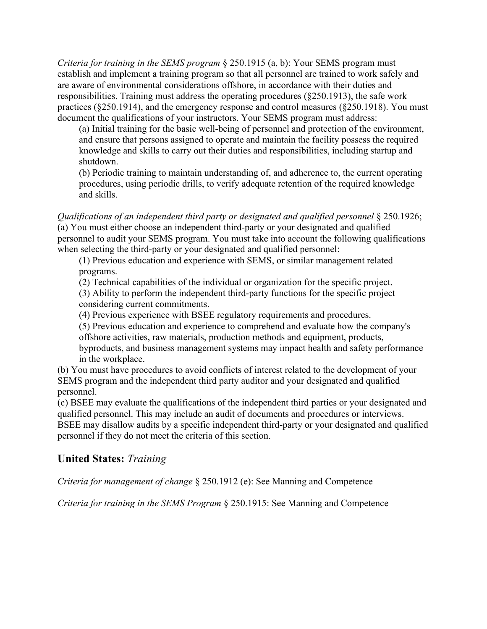*Criteria for training in the SEMS program* § 250.1915 (a, b): Your SEMS program must establish and implement a training program so that all personnel are trained to work safely and are aware of environmental considerations offshore, in accordance with their duties and responsibilities. Training must address the operating procedures (§250.1913), the safe work practices (§250.1914), and the emergency response and control measures (§250.1918). You must document the qualifications of your instructors. Your SEMS program must address:

(a) Initial training for the basic well-being of personnel and protection of the environment, and ensure that persons assigned to operate and maintain the facility possess the required knowledge and skills to carry out their duties and responsibilities, including startup and shutdown.

(b) Periodic training to maintain understanding of, and adherence to, the current operating procedures, using periodic drills, to verify adequate retention of the required knowledge and skills.

*Qualifications of an independent third party or designated and qualified personnel* § 250.1926; (a) You must either choose an independent third-party or your designated and qualified personnel to audit your SEMS program. You must take into account the following qualifications when selecting the third-party or your designated and qualified personnel:

(1) Previous education and experience with SEMS, or similar management related programs.

(2) Technical capabilities of the individual or organization for the specific project.

(3) Ability to perform the independent third-party functions for the specific project considering current commitments.

(4) Previous experience with BSEE regulatory requirements and procedures.

(5) Previous education and experience to comprehend and evaluate how the company's offshore activities, raw materials, production methods and equipment, products,

byproducts, and business management systems may impact health and safety performance in the workplace.

(b) You must have procedures to avoid conflicts of interest related to the development of your SEMS program and the independent third party auditor and your designated and qualified personnel.

(c) BSEE may evaluate the qualifications of the independent third parties or your designated and qualified personnel. This may include an audit of documents and procedures or interviews. BSEE may disallow audits by a specific independent third-party or your designated and qualified personnel if they do not meet the criteria of this section.

# **United States:** *Training*

*Criteria for management of change* § 250.1912 (e): See Manning and Competence

*Criteria for training in the SEMS Program* § 250.1915: See Manning and Competence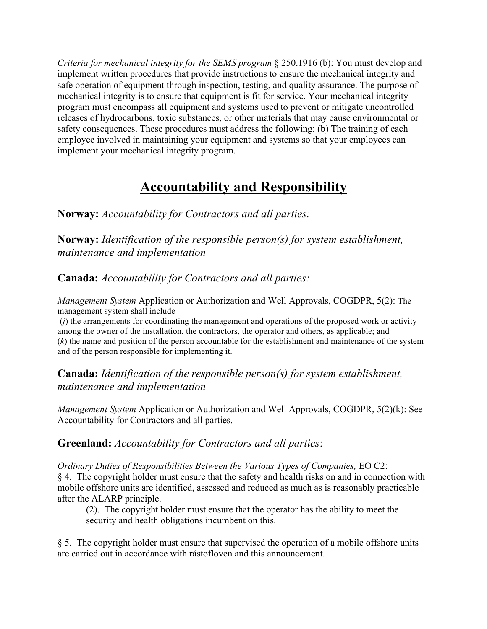*Criteria for mechanical integrity for the SEMS program* § 250.1916 (b): You must develop and implement written procedures that provide instructions to ensure the mechanical integrity and safe operation of equipment through inspection, testing, and quality assurance. The purpose of mechanical integrity is to ensure that equipment is fit for service. Your mechanical integrity program must encompass all equipment and systems used to prevent or mitigate uncontrolled releases of hydrocarbons, toxic substances, or other materials that may cause environmental or safety consequences. These procedures must address the following: (b) The training of each employee involved in maintaining your equipment and systems so that your employees can implement your mechanical integrity program.

# **Accountability and Responsibility**

**Norway:** *Accountability for Contractors and all parties:*

**Norway:** *Identification of the responsible person(s) for system establishment, maintenance and implementation*

**Canada:** *Accountability for Contractors and all parties:*

*Management System* Application or Authorization and Well Approvals, COGDPR, 5(2): The management system shall include

(*j*) the arrangements for coordinating the management and operations of the proposed work or activity among the owner of the installation, the contractors, the operator and others, as applicable; and (*k*) the name and position of the person accountable for the establishment and maintenance of the system and of the person responsible for implementing it.

# **Canada:** *Identification of the responsible person(s) for system establishment, maintenance and implementation*

*Management System* Application or Authorization and Well Approvals, COGDPR, 5(2)(k): See Accountability for Contractors and all parties.

# **Greenland:** *Accountability for Contractors and all parties*:

#### *Ordinary Duties of Responsibilities Between the Various Types of Companies,* EO C2: § 4. The copyright holder must ensure that the safety and health risks on and in connection with mobile offshore units are identified, assessed and reduced as much as is reasonably practicable after the ALARP principle.

(2). The copyright holder must ensure that the operator has the ability to meet the security and health obligations incumbent on this.

§ 5. The copyright holder must ensure that supervised the operation of a mobile offshore units are carried out in accordance with råstofloven and this announcement.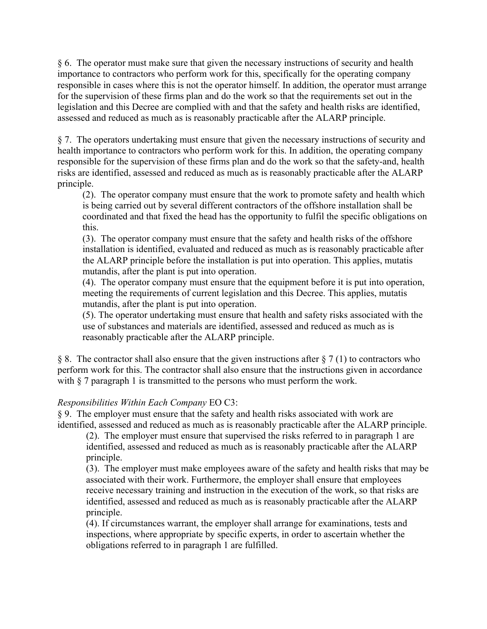§ 6. The operator must make sure that given the necessary instructions of security and health importance to contractors who perform work for this, specifically for the operating company responsible in cases where this is not the operator himself. In addition, the operator must arrange for the supervision of these firms plan and do the work so that the requirements set out in the legislation and this Decree are complied with and that the safety and health risks are identified, assessed and reduced as much as is reasonably practicable after the ALARP principle.

§ 7. The operators undertaking must ensure that given the necessary instructions of security and health importance to contractors who perform work for this. In addition, the operating company responsible for the supervision of these firms plan and do the work so that the safety-and, health risks are identified, assessed and reduced as much as is reasonably practicable after the ALARP principle.

(2). The operator company must ensure that the work to promote safety and health which is being carried out by several different contractors of the offshore installation shall be coordinated and that fixed the head has the opportunity to fulfil the specific obligations on this.

(3). The operator company must ensure that the safety and health risks of the offshore installation is identified, evaluated and reduced as much as is reasonably practicable after the ALARP principle before the installation is put into operation. This applies, mutatis mutandis, after the plant is put into operation.

(4). The operator company must ensure that the equipment before it is put into operation, meeting the requirements of current legislation and this Decree. This applies, mutatis mutandis, after the plant is put into operation.

(5). The operator undertaking must ensure that health and safety risks associated with the use of substances and materials are identified, assessed and reduced as much as is reasonably practicable after the ALARP principle.

§ 8. The contractor shall also ensure that the given instructions after § 7 (1) to contractors who perform work for this. The contractor shall also ensure that the instructions given in accordance with  $\S$  7 paragraph 1 is transmitted to the persons who must perform the work.

## *Responsibilities Within Each Company* EO C3:

§ 9. The employer must ensure that the safety and health risks associated with work are identified, assessed and reduced as much as is reasonably practicable after the ALARP principle.

(2). The employer must ensure that supervised the risks referred to in paragraph 1 are identified, assessed and reduced as much as is reasonably practicable after the ALARP principle.

(3). The employer must make employees aware of the safety and health risks that may be associated with their work. Furthermore, the employer shall ensure that employees receive necessary training and instruction in the execution of the work, so that risks are identified, assessed and reduced as much as is reasonably practicable after the ALARP principle.

(4). If circumstances warrant, the employer shall arrange for examinations, tests and inspections, where appropriate by specific experts, in order to ascertain whether the obligations referred to in paragraph 1 are fulfilled.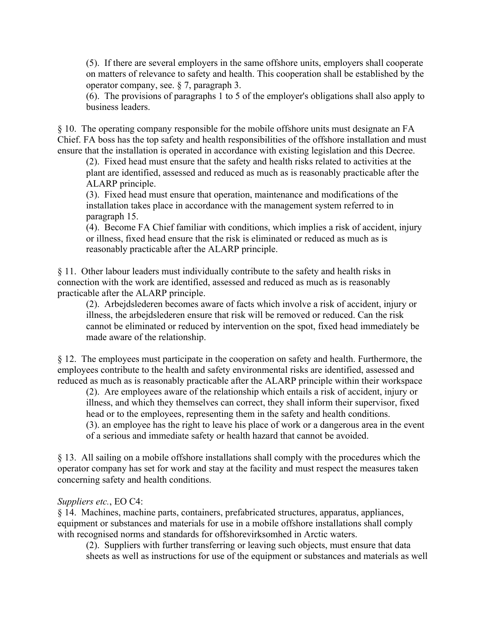(5). If there are several employers in the same offshore units, employers shall cooperate on matters of relevance to safety and health. This cooperation shall be established by the operator company, see. § 7, paragraph 3.

(6). The provisions of paragraphs 1 to 5 of the employer's obligations shall also apply to business leaders.

§ 10. The operating company responsible for the mobile offshore units must designate an FA Chief. FA boss has the top safety and health responsibilities of the offshore installation and must ensure that the installation is operated in accordance with existing legislation and this Decree.

(2). Fixed head must ensure that the safety and health risks related to activities at the plant are identified, assessed and reduced as much as is reasonably practicable after the ALARP principle.

(3). Fixed head must ensure that operation, maintenance and modifications of the installation takes place in accordance with the management system referred to in paragraph 15.

(4). Become FA Chief familiar with conditions, which implies a risk of accident, injury or illness, fixed head ensure that the risk is eliminated or reduced as much as is reasonably practicable after the ALARP principle.

§ 11. Other labour leaders must individually contribute to the safety and health risks in connection with the work are identified, assessed and reduced as much as is reasonably practicable after the ALARP principle.

(2). Arbejdslederen becomes aware of facts which involve a risk of accident, injury or illness, the arbejdslederen ensure that risk will be removed or reduced. Can the risk cannot be eliminated or reduced by intervention on the spot, fixed head immediately be made aware of the relationship.

§ 12. The employees must participate in the cooperation on safety and health. Furthermore, the employees contribute to the health and safety environmental risks are identified, assessed and reduced as much as is reasonably practicable after the ALARP principle within their workspace

(2). Are employees aware of the relationship which entails a risk of accident, injury or illness, and which they themselves can correct, they shall inform their supervisor, fixed head or to the employees, representing them in the safety and health conditions. (3). an employee has the right to leave his place of work or a dangerous area in the event of a serious and immediate safety or health hazard that cannot be avoided.

§ 13. All sailing on a mobile offshore installations shall comply with the procedures which the operator company has set for work and stay at the facility and must respect the measures taken concerning safety and health conditions.

#### *Suppliers etc.*, EO C4:

§ 14. Machines, machine parts, containers, prefabricated structures, apparatus, appliances, equipment or substances and materials for use in a mobile offshore installations shall comply with recognised norms and standards for offshorevirksomhed in Arctic waters.

(2). Suppliers with further transferring or leaving such objects, must ensure that data sheets as well as instructions for use of the equipment or substances and materials as well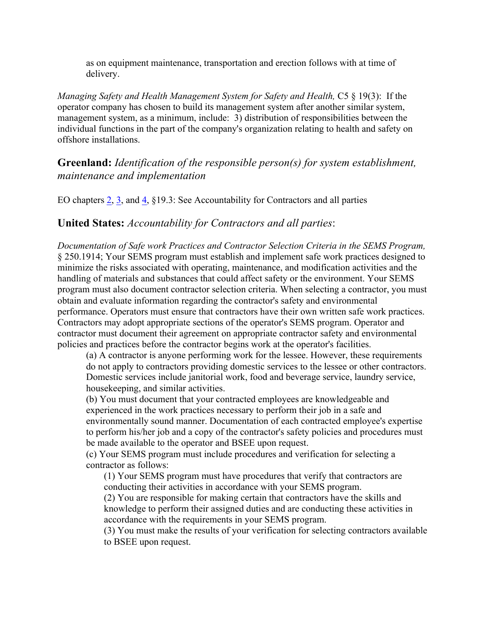as on equipment maintenance, transportation and erection follows with at time of delivery.

*Managing Safety and Health Management System for Safety and Health, C5 § 19(3): If the* operator company has chosen to build its management system after another similar system, management system, as a minimum, include: 3) distribution of responsibilities between the individual functions in the part of the company's organization relating to health and safety on offshore installations.

# **Greenland:** *Identification of the responsible person(s) for system establishment, maintenance and implementation*

EO chapters 2, 3, and 4, §19.3: See Accountability for Contractors and all parties

## **United States:** *Accountability for Contractors and all parties*:

*Documentation of Safe work Practices and Contractor Selection Criteria in the SEMS Program,* § 250.1914; Your SEMS program must establish and implement safe work practices designed to minimize the risks associated with operating, maintenance, and modification activities and the handling of materials and substances that could affect safety or the environment. Your SEMS program must also document contractor selection criteria. When selecting a contractor, you must obtain and evaluate information regarding the contractor's safety and environmental performance. Operators must ensure that contractors have their own written safe work practices. Contractors may adopt appropriate sections of the operator's SEMS program. Operator and contractor must document their agreement on appropriate contractor safety and environmental policies and practices before the contractor begins work at the operator's facilities.

(a) A contractor is anyone performing work for the lessee. However, these requirements do not apply to contractors providing domestic services to the lessee or other contractors. Domestic services include janitorial work, food and beverage service, laundry service, housekeeping, and similar activities.

(b) You must document that your contracted employees are knowledgeable and experienced in the work practices necessary to perform their job in a safe and environmentally sound manner. Documentation of each contracted employee's expertise to perform his/her job and a copy of the contractor's safety policies and procedures must be made available to the operator and BSEE upon request.

(c) Your SEMS program must include procedures and verification for selecting a contractor as follows:

(1) Your SEMS program must have procedures that verify that contractors are conducting their activities in accordance with your SEMS program.

(2) You are responsible for making certain that contractors have the skills and knowledge to perform their assigned duties and are conducting these activities in accordance with the requirements in your SEMS program.

(3) You must make the results of your verification for selecting contractors available to BSEE upon request.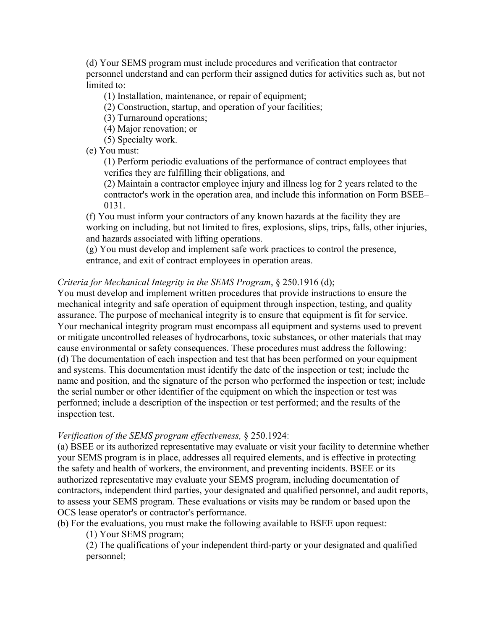(d) Your SEMS program must include procedures and verification that contractor personnel understand and can perform their assigned duties for activities such as, but not limited to:

(1) Installation, maintenance, or repair of equipment;

(2) Construction, startup, and operation of your facilities;

(3) Turnaround operations;

(4) Major renovation; or

(5) Specialty work.

(e) You must:

(1) Perform periodic evaluations of the performance of contract employees that verifies they are fulfilling their obligations, and

(2) Maintain a contractor employee injury and illness log for 2 years related to the contractor's work in the operation area, and include this information on Form BSEE– 0131.

(f) You must inform your contractors of any known hazards at the facility they are working on including, but not limited to fires, explosions, slips, trips, falls, other injuries, and hazards associated with lifting operations.

(g) You must develop and implement safe work practices to control the presence, entrance, and exit of contract employees in operation areas.

#### *Criteria for Mechanical Integrity in the SEMS Program*, § 250.1916 (d);

You must develop and implement written procedures that provide instructions to ensure the mechanical integrity and safe operation of equipment through inspection, testing, and quality assurance. The purpose of mechanical integrity is to ensure that equipment is fit for service. Your mechanical integrity program must encompass all equipment and systems used to prevent or mitigate uncontrolled releases of hydrocarbons, toxic substances, or other materials that may cause environmental or safety consequences. These procedures must address the following: (d) The documentation of each inspection and test that has been performed on your equipment and systems. This documentation must identify the date of the inspection or test; include the name and position, and the signature of the person who performed the inspection or test; include the serial number or other identifier of the equipment on which the inspection or test was performed; include a description of the inspection or test performed; and the results of the inspection test.

#### *Verification of the SEMS program effectiveness,* § 250.1924:

(a) BSEE or its authorized representative may evaluate or visit your facility to determine whether your SEMS program is in place, addresses all required elements, and is effective in protecting the safety and health of workers, the environment, and preventing incidents. BSEE or its authorized representative may evaluate your SEMS program, including documentation of contractors, independent third parties, your designated and qualified personnel, and audit reports, to assess your SEMS program. These evaluations or visits may be random or based upon the OCS lease operator's or contractor's performance.

(b) For the evaluations, you must make the following available to BSEE upon request:

(1) Your SEMS program;

(2) The qualifications of your independent third-party or your designated and qualified personnel;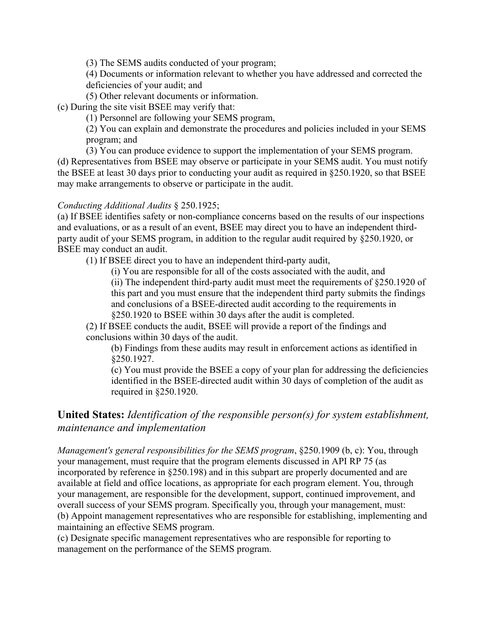(3) The SEMS audits conducted of your program;

(4) Documents or information relevant to whether you have addressed and corrected the deficiencies of your audit; and

(5) Other relevant documents or information.

(c) During the site visit BSEE may verify that:

(1) Personnel are following your SEMS program,

(2) You can explain and demonstrate the procedures and policies included in your SEMS program; and

(3) You can produce evidence to support the implementation of your SEMS program.

(d) Representatives from BSEE may observe or participate in your SEMS audit. You must notify the BSEE at least 30 days prior to conducting your audit as required in §250.1920, so that BSEE may make arrangements to observe or participate in the audit.

#### *Conducting Additional Audits* § 250.1925;

(a) If BSEE identifies safety or non-compliance concerns based on the results of our inspections and evaluations, or as a result of an event, BSEE may direct you to have an independent thirdparty audit of your SEMS program, in addition to the regular audit required by §250.1920, or BSEE may conduct an audit.

(1) If BSEE direct you to have an independent third-party audit,

(i) You are responsible for all of the costs associated with the audit, and

(ii) The independent third-party audit must meet the requirements of §250.1920 of this part and you must ensure that the independent third party submits the findings and conclusions of a BSEE-directed audit according to the requirements in §250.1920 to BSEE within 30 days after the audit is completed.

(2) If BSEE conducts the audit, BSEE will provide a report of the findings and conclusions within 30 days of the audit.

(b) Findings from these audits may result in enforcement actions as identified in §250.1927.

(c) You must provide the BSEE a copy of your plan for addressing the deficiencies identified in the BSEE-directed audit within 30 days of completion of the audit as required in §250.1920.

# **United States:** *Identification of the responsible person(s) for system establishment, maintenance and implementation*

*Management's general responsibilities for the SEMS program*, §250.1909 (b, c): You, through your management, must require that the program elements discussed in API RP 75 (as incorporated by reference in §250.198) and in this subpart are properly documented and are available at field and office locations, as appropriate for each program element. You, through your management, are responsible for the development, support, continued improvement, and overall success of your SEMS program. Specifically you, through your management, must: (b) Appoint management representatives who are responsible for establishing, implementing and maintaining an effective SEMS program.

(c) Designate specific management representatives who are responsible for reporting to management on the performance of the SEMS program.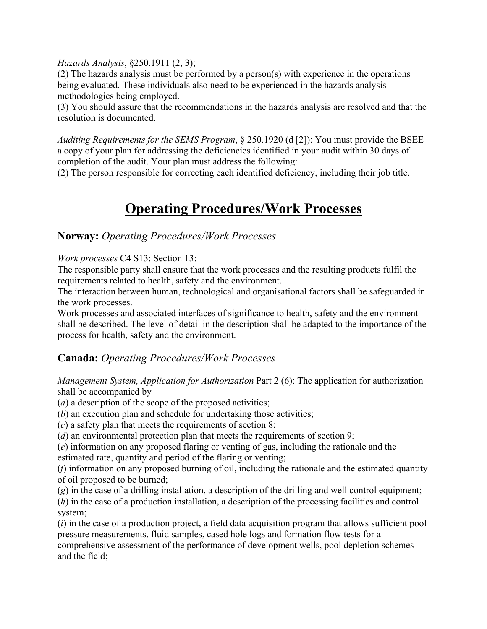*Hazards Analysis*, §250.1911 (2, 3);

(2) The hazards analysis must be performed by a person(s) with experience in the operations being evaluated. These individuals also need to be experienced in the hazards analysis methodologies being employed.

(3) You should assure that the recommendations in the hazards analysis are resolved and that the resolution is documented.

*Auditing Requirements for the SEMS Program*, § 250.1920 (d [2]): You must provide the BSEE a copy of your plan for addressing the deficiencies identified in your audit within 30 days of completion of the audit. Your plan must address the following:

(2) The person responsible for correcting each identified deficiency, including their job title.

# **Operating Procedures/Work Processes**

## **Norway:** *Operating Procedures/Work Processes*

*Work processes* C4 S13: Section 13:

The responsible party shall ensure that the work processes and the resulting products fulfil the requirements related to health, safety and the environment.

The interaction between human, technological and organisational factors shall be safeguarded in the work processes.

Work processes and associated interfaces of significance to health, safety and the environment shall be described. The level of detail in the description shall be adapted to the importance of the process for health, safety and the environment.

# **Canada:** *Operating Procedures/Work Processes*

*Management System, Application for Authorization* Part 2 (6): The application for authorization shall be accompanied by

(*a*) a description of the scope of the proposed activities;

(*b*) an execution plan and schedule for undertaking those activities;

(*c*) a safety plan that meets the requirements of section 8;

(*d*) an environmental protection plan that meets the requirements of section 9;

(*e*) information on any proposed flaring or venting of gas, including the rationale and the estimated rate, quantity and period of the flaring or venting;

(*f*) information on any proposed burning of oil, including the rationale and the estimated quantity of oil proposed to be burned;

(*g*) in the case of a drilling installation, a description of the drilling and well control equipment; (*h*) in the case of a production installation, a description of the processing facilities and control system;

(*i*) in the case of a production project, a field data acquisition program that allows sufficient pool pressure measurements, fluid samples, cased hole logs and formation flow tests for a comprehensive assessment of the performance of development wells, pool depletion schemes and the field;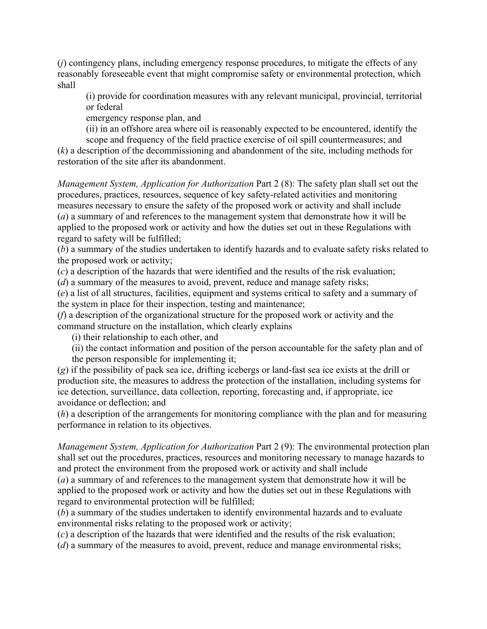(*j*) contingency plans, including emergency response procedures, to mitigate the effects of any reasonably foreseeable event that might compromise safety or environmental protection, which shall

(i) provide for coordination measures with any relevant municipal, provincial, territorial or federal

emergency response plan, and

(ii) in an offshore area where oil is reasonably expected to be encountered, identify the scope and frequency of the field practice exercise of oil spill countermeasures; and (*k*) a description of the decommissioning and abandonment of the site, including methods for

restoration of the site after its abandonment.

*Management System, Application for Authorization* Part 2 (8): The safety plan shall set out the procedures, practices, resources, sequence of key safety-related activities and monitoring measures necessary to ensure the safety of the proposed work or activity and shall include (*a*) a summary of and references to the management system that demonstrate how it will be applied to the proposed work or activity and how the duties set out in these Regulations with regard to safety will be fulfilled;

(*b*) a summary of the studies undertaken to identify hazards and to evaluate safety risks related to the proposed work or activity;

(*c*) a description of the hazards that were identified and the results of the risk evaluation;

(*d*) a summary of the measures to avoid, prevent, reduce and manage safety risks;

(*e*) a list of all structures, facilities, equipment and systems critical to safety and a summary of the system in place for their inspection, testing and maintenance;

(*f*) a description of the organizational structure for the proposed work or activity and the command structure on the installation, which clearly explains

(i) their relationship to each other, and

(ii) the contact information and position of the person accountable for the safety plan and of the person responsible for implementing it;

(*g*) if the possibility of pack sea ice, drifting icebergs or land-fast sea ice exists at the drill or production site, the measures to address the protection of the installation, including systems for ice detection, surveillance, data collection, reporting, forecasting and, if appropriate, ice avoidance or deflection; and

(*h*) a description of the arrangements for monitoring compliance with the plan and for measuring performance in relation to its objectives.

*Management System, Application for Authorization* Part 2 (9): The environmental protection plan shall set out the procedures, practices, resources and monitoring necessary to manage hazards to and protect the environment from the proposed work or activity and shall include

(*a*) a summary of and references to the management system that demonstrate how it will be applied to the proposed work or activity and how the duties set out in these Regulations with regard to environmental protection will be fulfilled;

(*b*) a summary of the studies undertaken to identify environmental hazards and to evaluate environmental risks relating to the proposed work or activity;

(*c*) a description of the hazards that were identified and the results of the risk evaluation;

(*d*) a summary of the measures to avoid, prevent, reduce and manage environmental risks;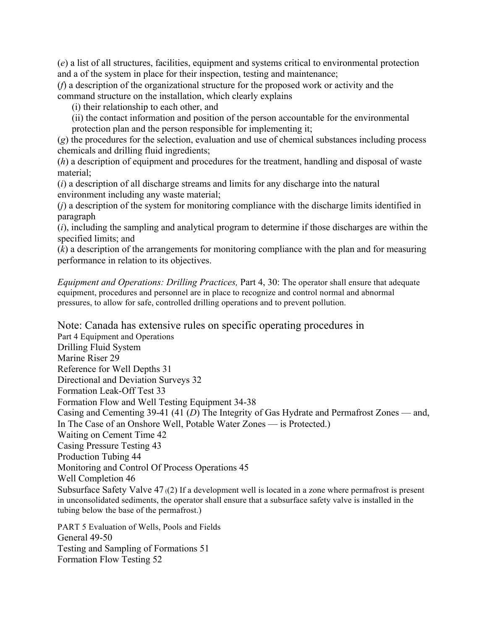(*e*) a list of all structures, facilities, equipment and systems critical to environmental protection and a of the system in place for their inspection, testing and maintenance;

(*f*) a description of the organizational structure for the proposed work or activity and the command structure on the installation, which clearly explains

(i) their relationship to each other, and

(ii) the contact information and position of the person accountable for the environmental

protection plan and the person responsible for implementing it;

(*g*) the procedures for the selection, evaluation and use of chemical substances including process chemicals and drilling fluid ingredients;

(*h*) a description of equipment and procedures for the treatment, handling and disposal of waste material;

(*i*) a description of all discharge streams and limits for any discharge into the natural environment including any waste material;

(*j*) a description of the system for monitoring compliance with the discharge limits identified in paragraph

(*i*), including the sampling and analytical program to determine if those discharges are within the specified limits; and

(*k*) a description of the arrangements for monitoring compliance with the plan and for measuring performance in relation to its objectives.

*Equipment and Operations: Drilling Practices,* Part 4, 30: The operator shall ensure that adequate equipment, procedures and personnel are in place to recognize and control normal and abnormal pressures, to allow for safe, controlled drilling operations and to prevent pollution.

Note: Canada has extensive rules on specific operating procedures in

Part 4 Equipment and Operations Drilling Fluid System Marine Riser 29 Reference for Well Depths 31 Directional and Deviation Surveys 32 Formation Leak-Off Test 33 Formation Flow and Well Testing Equipment 34-38 Casing and Cementing 39-41 (41 (*D*) The Integrity of Gas Hydrate and Permafrost Zones — and, In The Case of an Onshore Well, Potable Water Zones — is Protected.) Waiting on Cement Time 42 Casing Pressure Testing 43 Production Tubing 44 Monitoring and Control Of Process Operations 45 Well Completion 46 Subsurface Safety Valve 47 ((2) If a development well is located in a zone where permafrost is present in unconsolidated sediments, the operator shall ensure that a subsurface safety valve is installed in the tubing below the base of the permafrost.)

PART 5 Evaluation of Wells, Pools and Fields General 49-50 Testing and Sampling of Formations 51 Formation Flow Testing 52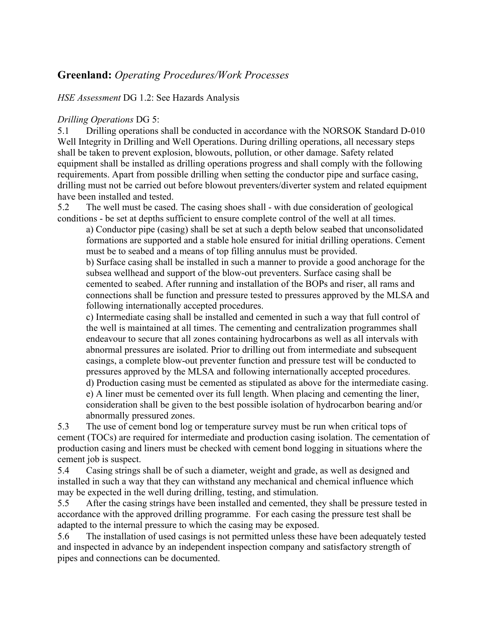# **Greenland:** *Operating Procedures/Work Processes*

*HSE Assessment* DG 1.2: See Hazards Analysis

#### *Drilling Operations* DG 5:

5.1 Drilling operations shall be conducted in accordance with the NORSOK Standard D-010 Well Integrity in Drilling and Well Operations. During drilling operations, all necessary steps shall be taken to prevent explosion, blowouts, pollution, or other damage. Safety related equipment shall be installed as drilling operations progress and shall comply with the following requirements. Apart from possible drilling when setting the conductor pipe and surface casing, drilling must not be carried out before blowout preventers/diverter system and related equipment have been installed and tested.

5.2 The well must be cased. The casing shoes shall - with due consideration of geological conditions - be set at depths sufficient to ensure complete control of the well at all times.

a) Conductor pipe (casing) shall be set at such a depth below seabed that unconsolidated formations are supported and a stable hole ensured for initial drilling operations. Cement must be to seabed and a means of top filling annulus must be provided.

b) Surface casing shall be installed in such a manner to provide a good anchorage for the subsea wellhead and support of the blow-out preventers. Surface casing shall be cemented to seabed. After running and installation of the BOPs and riser, all rams and connections shall be function and pressure tested to pressures approved by the MLSA and following internationally accepted procedures.

c) Intermediate casing shall be installed and cemented in such a way that full control of the well is maintained at all times. The cementing and centralization programmes shall endeavour to secure that all zones containing hydrocarbons as well as all intervals with abnormal pressures are isolated. Prior to drilling out from intermediate and subsequent casings, a complete blow-out preventer function and pressure test will be conducted to pressures approved by the MLSA and following internationally accepted procedures. d) Production casing must be cemented as stipulated as above for the intermediate casing. e) A liner must be cemented over its full length. When placing and cementing the liner,

consideration shall be given to the best possible isolation of hydrocarbon bearing and/or abnormally pressured zones.

5.3 The use of cement bond log or temperature survey must be run when critical tops of cement (TOCs) are required for intermediate and production casing isolation. The cementation of production casing and liners must be checked with cement bond logging in situations where the cement job is suspect.

5.4 Casing strings shall be of such a diameter, weight and grade, as well as designed and installed in such a way that they can withstand any mechanical and chemical influence which may be expected in the well during drilling, testing, and stimulation.

5.5 After the casing strings have been installed and cemented, they shall be pressure tested in accordance with the approved drilling programme. For each casing the pressure test shall be adapted to the internal pressure to which the casing may be exposed.

5.6 The installation of used casings is not permitted unless these have been adequately tested and inspected in advance by an independent inspection company and satisfactory strength of pipes and connections can be documented.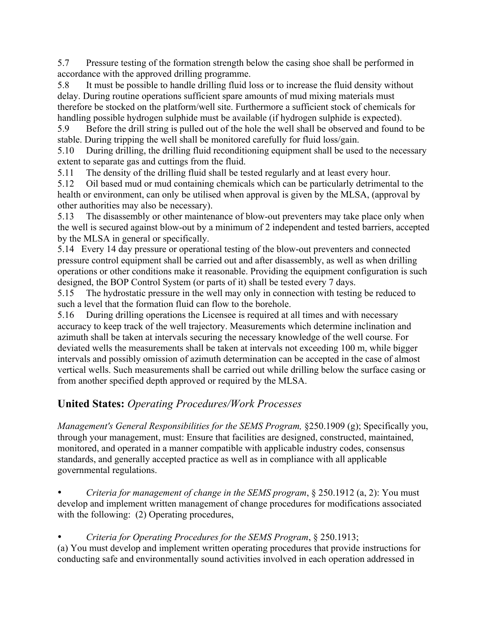5.7 Pressure testing of the formation strength below the casing shoe shall be performed in accordance with the approved drilling programme.

5.8 It must be possible to handle drilling fluid loss or to increase the fluid density without delay. During routine operations sufficient spare amounts of mud mixing materials must therefore be stocked on the platform/well site. Furthermore a sufficient stock of chemicals for handling possible hydrogen sulphide must be available (if hydrogen sulphide is expected).

5.9 Before the drill string is pulled out of the hole the well shall be observed and found to be stable. During tripping the well shall be monitored carefully for fluid loss/gain.

5.10 During drilling, the drilling fluid reconditioning equipment shall be used to the necessary extent to separate gas and cuttings from the fluid.

5.11 The density of the drilling fluid shall be tested regularly and at least every hour.

5.12 Oil based mud or mud containing chemicals which can be particularly detrimental to the health or environment, can only be utilised when approval is given by the MLSA, (approval by other authorities may also be necessary).

5.13 The disassembly or other maintenance of blow-out preventers may take place only when the well is secured against blow-out by a minimum of 2 independent and tested barriers, accepted by the MLSA in general or specifically.

5.14 Every 14 day pressure or operational testing of the blow-out preventers and connected pressure control equipment shall be carried out and after disassembly, as well as when drilling operations or other conditions make it reasonable. Providing the equipment configuration is such designed, the BOP Control System (or parts of it) shall be tested every 7 days.

5.15 The hydrostatic pressure in the well may only in connection with testing be reduced to such a level that the formation fluid can flow to the borehole.

5.16 During drilling operations the Licensee is required at all times and with necessary accuracy to keep track of the well trajectory. Measurements which determine inclination and azimuth shall be taken at intervals securing the necessary knowledge of the well course. For deviated wells the measurements shall be taken at intervals not exceeding 100 m, while bigger intervals and possibly omission of azimuth determination can be accepted in the case of almost vertical wells. Such measurements shall be carried out while drilling below the surface casing or from another specified depth approved or required by the MLSA.

# **United States:** *Operating Procedures/Work Processes*

*Management's General Responsibilities for the SEMS Program,* §250.1909 (g); Specifically you, through your management, must: Ensure that facilities are designed, constructed, maintained, monitored, and operated in a manner compatible with applicable industry codes, consensus standards, and generally accepted practice as well as in compliance with all applicable governmental regulations.

• *Criteria for management of change in the SEMS program*, § 250.1912 (a, 2): You must develop and implement written management of change procedures for modifications associated with the following: (2) Operating procedures,

• *Criteria for Operating Procedures for the SEMS Program*, § 250.1913; (a) You must develop and implement written operating procedures that provide instructions for conducting safe and environmentally sound activities involved in each operation addressed in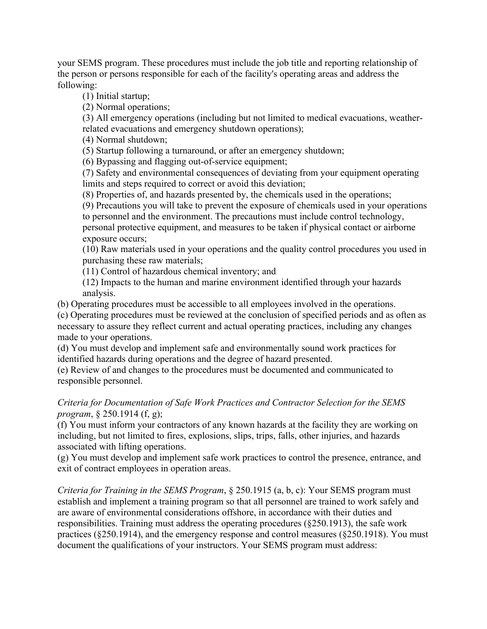your SEMS program. These procedures must include the job title and reporting relationship of the person or persons responsible for each of the facility's operating areas and address the following:

(1) Initial startup;

(2) Normal operations;

(3) All emergency operations (including but not limited to medical evacuations, weatherrelated evacuations and emergency shutdown operations);

(4) Normal shutdown;

(5) Startup following a turnaround, or after an emergency shutdown;

(6) Bypassing and flagging out-of-service equipment;

(7) Safety and environmental consequences of deviating from your equipment operating limits and steps required to correct or avoid this deviation;

(8) Properties of, and hazards presented by, the chemicals used in the operations;

(9) Precautions you will take to prevent the exposure of chemicals used in your operations to personnel and the environment. The precautions must include control technology, personal protective equipment, and measures to be taken if physical contact or airborne exposure occurs;

(10) Raw materials used in your operations and the quality control procedures you used in purchasing these raw materials;

(11) Control of hazardous chemical inventory; and

(12) Impacts to the human and marine environment identified through your hazards analysis.

(b) Operating procedures must be accessible to all employees involved in the operations.

(c) Operating procedures must be reviewed at the conclusion of specified periods and as often as necessary to assure they reflect current and actual operating practices, including any changes made to your operations.

(d) You must develop and implement safe and environmentally sound work practices for identified hazards during operations and the degree of hazard presented.

(e) Review of and changes to the procedures must be documented and communicated to responsible personnel.

## *Criteria for Documentation of Safe Work Practices and Contractor Selection for the SEMS program*, § 250.1914 (f, g);

(f) You must inform your contractors of any known hazards at the facility they are working on including, but not limited to fires, explosions, slips, trips, falls, other injuries, and hazards associated with lifting operations.

(g) You must develop and implement safe work practices to control the presence, entrance, and exit of contract employees in operation areas.

*Criteria for Training in the SEMS Program*, § 250.1915 (a, b, c): Your SEMS program must establish and implement a training program so that all personnel are trained to work safely and are aware of environmental considerations offshore, in accordance with their duties and responsibilities. Training must address the operating procedures (§250.1913), the safe work practices (§250.1914), and the emergency response and control measures (§250.1918). You must document the qualifications of your instructors. Your SEMS program must address: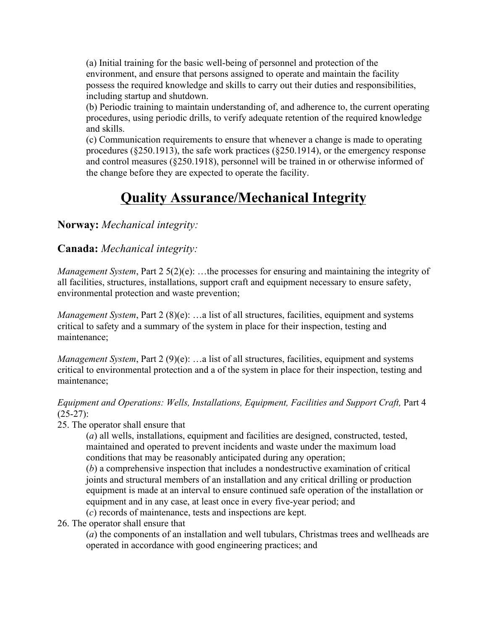(a) Initial training for the basic well-being of personnel and protection of the environment, and ensure that persons assigned to operate and maintain the facility possess the required knowledge and skills to carry out their duties and responsibilities, including startup and shutdown.

(b) Periodic training to maintain understanding of, and adherence to, the current operating procedures, using periodic drills, to verify adequate retention of the required knowledge and skills.

(c) Communication requirements to ensure that whenever a change is made to operating procedures (§250.1913), the safe work practices (§250.1914), or the emergency response and control measures (§250.1918), personnel will be trained in or otherwise informed of the change before they are expected to operate the facility.

# **Quality Assurance/Mechanical Integrity**

**Norway:** *Mechanical integrity:*

**Canada:** *Mechanical integrity:*

*Management System*, Part 2 5(2)(e): ...the processes for ensuring and maintaining the integrity of all facilities, structures, installations, support craft and equipment necessary to ensure safety, environmental protection and waste prevention;

*Management System*, Part 2 (8)(e): ...a list of all structures, facilities, equipment and systems critical to safety and a summary of the system in place for their inspection, testing and maintenance;

*Management System, Part 2 (9)(e): ...a list of all structures, facilities, equipment and systems* critical to environmental protection and a of the system in place for their inspection, testing and maintenance;

## *Equipment and Operations: Wells, Installations, Equipment, Facilities and Support Craft,* Part 4  $(25-27)$ :

25. The operator shall ensure that

(*a*) all wells, installations, equipment and facilities are designed, constructed, tested, maintained and operated to prevent incidents and waste under the maximum load conditions that may be reasonably anticipated during any operation;

(*b*) a comprehensive inspection that includes a nondestructive examination of critical joints and structural members of an installation and any critical drilling or production equipment is made at an interval to ensure continued safe operation of the installation or equipment and in any case, at least once in every five-year period; and

(*c*) records of maintenance, tests and inspections are kept.

26. The operator shall ensure that

(*a*) the components of an installation and well tubulars, Christmas trees and wellheads are operated in accordance with good engineering practices; and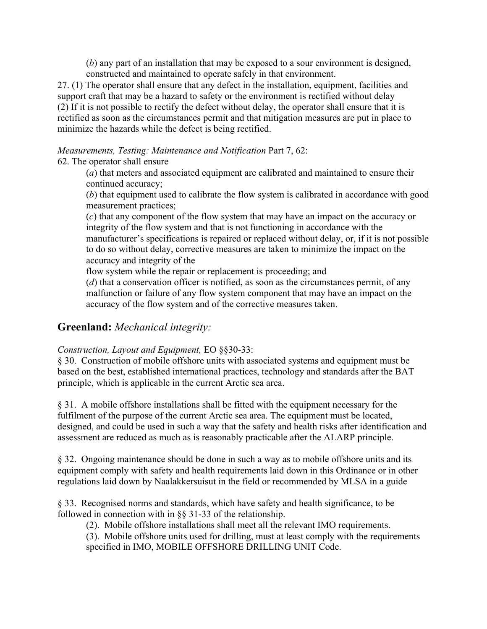(*b*) any part of an installation that may be exposed to a sour environment is designed, constructed and maintained to operate safely in that environment.

27. (1) The operator shall ensure that any defect in the installation, equipment, facilities and support craft that may be a hazard to safety or the environment is rectified without delay (2) If it is not possible to rectify the defect without delay, the operator shall ensure that it is rectified as soon as the circumstances permit and that mitigation measures are put in place to minimize the hazards while the defect is being rectified.

#### *Measurements, Testing: Maintenance and Notification* Part 7, 62:

#### 62. The operator shall ensure

(*a*) that meters and associated equipment are calibrated and maintained to ensure their continued accuracy;

(*b*) that equipment used to calibrate the flow system is calibrated in accordance with good measurement practices;

(*c*) that any component of the flow system that may have an impact on the accuracy or integrity of the flow system and that is not functioning in accordance with the manufacturer's specifications is repaired or replaced without delay, or, if it is not possible to do so without delay, corrective measures are taken to minimize the impact on the accuracy and integrity of the

flow system while the repair or replacement is proceeding; and

(*d*) that a conservation officer is notified, as soon as the circumstances permit, of any malfunction or failure of any flow system component that may have an impact on the accuracy of the flow system and of the corrective measures taken.

## **Greenland:** *Mechanical integrity:*

## *Construction, Layout and Equipment,* EO §§30-33:

§ 30. Construction of mobile offshore units with associated systems and equipment must be based on the best, established international practices, technology and standards after the BAT principle, which is applicable in the current Arctic sea area.

§ 31. A mobile offshore installations shall be fitted with the equipment necessary for the fulfilment of the purpose of the current Arctic sea area. The equipment must be located, designed, and could be used in such a way that the safety and health risks after identification and assessment are reduced as much as is reasonably practicable after the ALARP principle.

§ 32. Ongoing maintenance should be done in such a way as to mobile offshore units and its equipment comply with safety and health requirements laid down in this Ordinance or in other regulations laid down by Naalakkersuisut in the field or recommended by MLSA in a guide

§ 33. Recognised norms and standards, which have safety and health significance, to be followed in connection with in §§ 31-33 of the relationship.

(2). Mobile offshore installations shall meet all the relevant IMO requirements.

(3). Mobile offshore units used for drilling, must at least comply with the requirements specified in IMO, MOBILE OFFSHORE DRILLING UNIT Code.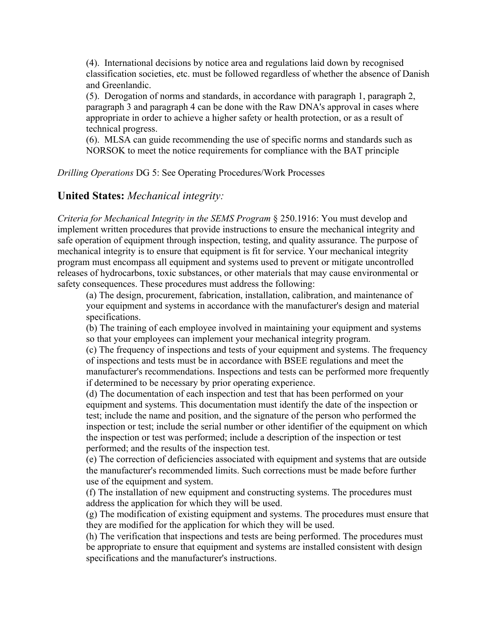(4). International decisions by notice area and regulations laid down by recognised classification societies, etc. must be followed regardless of whether the absence of Danish and Greenlandic.

(5). Derogation of norms and standards, in accordance with paragraph 1, paragraph 2, paragraph 3 and paragraph 4 can be done with the Raw DNA's approval in cases where appropriate in order to achieve a higher safety or health protection, or as a result of technical progress.

(6). MLSA can guide recommending the use of specific norms and standards such as NORSOK to meet the notice requirements for compliance with the BAT principle

*Drilling Operations* DG 5: See Operating Procedures/Work Processes

## **United States:** *Mechanical integrity:*

*Criteria for Mechanical Integrity in the SEMS Program* § 250.1916: You must develop and implement written procedures that provide instructions to ensure the mechanical integrity and safe operation of equipment through inspection, testing, and quality assurance. The purpose of mechanical integrity is to ensure that equipment is fit for service. Your mechanical integrity program must encompass all equipment and systems used to prevent or mitigate uncontrolled releases of hydrocarbons, toxic substances, or other materials that may cause environmental or safety consequences. These procedures must address the following:

(a) The design, procurement, fabrication, installation, calibration, and maintenance of your equipment and systems in accordance with the manufacturer's design and material specifications.

(b) The training of each employee involved in maintaining your equipment and systems so that your employees can implement your mechanical integrity program.

(c) The frequency of inspections and tests of your equipment and systems. The frequency of inspections and tests must be in accordance with BSEE regulations and meet the manufacturer's recommendations. Inspections and tests can be performed more frequently if determined to be necessary by prior operating experience.

(d) The documentation of each inspection and test that has been performed on your equipment and systems. This documentation must identify the date of the inspection or test; include the name and position, and the signature of the person who performed the inspection or test; include the serial number or other identifier of the equipment on which the inspection or test was performed; include a description of the inspection or test performed; and the results of the inspection test.

(e) The correction of deficiencies associated with equipment and systems that are outside the manufacturer's recommended limits. Such corrections must be made before further use of the equipment and system.

(f) The installation of new equipment and constructing systems. The procedures must address the application for which they will be used.

(g) The modification of existing equipment and systems. The procedures must ensure that they are modified for the application for which they will be used.

(h) The verification that inspections and tests are being performed. The procedures must be appropriate to ensure that equipment and systems are installed consistent with design specifications and the manufacturer's instructions.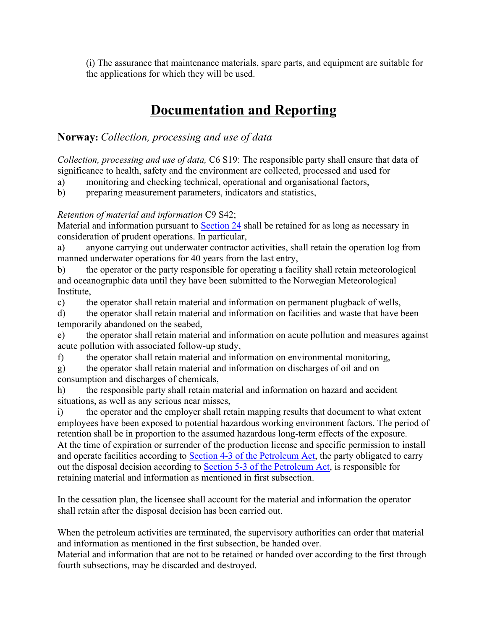(i) The assurance that maintenance materials, spare parts, and equipment are suitable for the applications for which they will be used.

# **Documentation and Reporting**

## **Norway:** *Collection, processing and use of data*

*Collection, processing and use of data,* C6 S19: The responsible party shall ensure that data of significance to health, safety and the environment are collected, processed and used for

a) monitoring and checking technical, operational and organisational factors,

b) preparing measurement parameters, indicators and statistics,

## *Retention of material and information* C9 S42;

Material and information pursuant to Section 24 shall be retained for as long as necessary in consideration of prudent operations. In particular,

a) anyone carrying out underwater contractor activities, shall retain the operation log from manned underwater operations for 40 years from the last entry,

b) the operator or the party responsible for operating a facility shall retain meteorological and oceanographic data until they have been submitted to the Norwegian Meteorological Institute,

c) the operator shall retain material and information on permanent plugback of wells,

d) the operator shall retain material and information on facilities and waste that have been temporarily abandoned on the seabed,

e) the operator shall retain material and information on acute pollution and measures against acute pollution with associated follow-up study,

f) the operator shall retain material and information on environmental monitoring,

g) the operator shall retain material and information on discharges of oil and on consumption and discharges of chemicals,

h) the responsible party shall retain material and information on hazard and accident situations, as well as any serious near misses,

i) the operator and the employer shall retain mapping results that document to what extent employees have been exposed to potential hazardous working environment factors. The period of retention shall be in proportion to the assumed hazardous long-term effects of the exposure. At the time of expiration or surrender of the production license and specific permission to install and operate facilities according to Section 4-3 of the Petroleum Act, the party obligated to carry out the disposal decision according to Section 5-3 of the Petroleum Act, is responsible for retaining material and information as mentioned in first subsection.

In the cessation plan, the licensee shall account for the material and information the operator shall retain after the disposal decision has been carried out.

When the petroleum activities are terminated, the supervisory authorities can order that material and information as mentioned in the first subsection, be handed over.

Material and information that are not to be retained or handed over according to the first through fourth subsections, may be discarded and destroyed.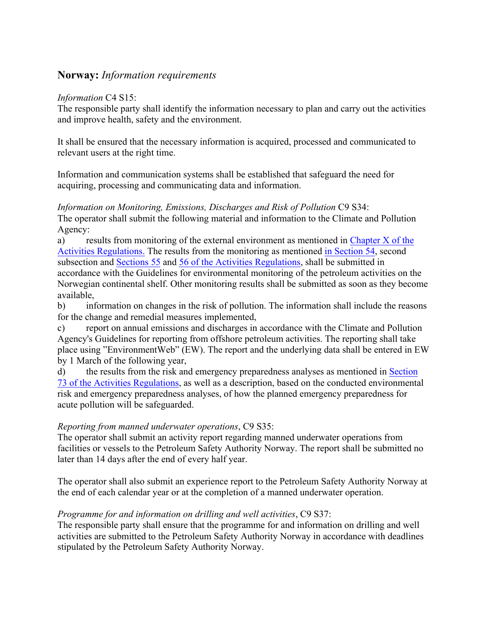## **Norway:** *Information requirements*

#### *Information* C4 S15:

The responsible party shall identify the information necessary to plan and carry out the activities and improve health, safety and the environment.

It shall be ensured that the necessary information is acquired, processed and communicated to relevant users at the right time.

Information and communication systems shall be established that safeguard the need for acquiring, processing and communicating data and information.

## *Information on Monitoring, Emissions, Discharges and Risk of Pollution* C9 S34:

The operator shall submit the following material and information to the Climate and Pollution Agency:

a) results from monitoring of the external environment as mentioned in Chapter X of the Activities Regulations. The results from the monitoring as mentioned in Section 54, second subsection and Sections 55 and 56 of the Activities Regulations, shall be submitted in accordance with the Guidelines for environmental monitoring of the petroleum activities on the Norwegian continental shelf. Other monitoring results shall be submitted as soon as they become available,

b) information on changes in the risk of pollution. The information shall include the reasons for the change and remedial measures implemented,

c) report on annual emissions and discharges in accordance with the Climate and Pollution Agency's Guidelines for reporting from offshore petroleum activities. The reporting shall take place using "EnvironmentWeb" (EW). The report and the underlying data shall be entered in EW by 1 March of the following year,

d) the results from the risk and emergency preparedness analyses as mentioned in Section 73 of the Activities Regulations, as well as a description, based on the conducted environmental risk and emergency preparedness analyses, of how the planned emergency preparedness for acute pollution will be safeguarded.

## *Reporting from manned underwater operations*, C9 S35:

The operator shall submit an activity report regarding manned underwater operations from facilities or vessels to the Petroleum Safety Authority Norway. The report shall be submitted no later than 14 days after the end of every half year.

The operator shall also submit an experience report to the Petroleum Safety Authority Norway at the end of each calendar year or at the completion of a manned underwater operation.

## *Programme for and information on drilling and well activities*, C9 S37:

The responsible party shall ensure that the programme for and information on drilling and well activities are submitted to the Petroleum Safety Authority Norway in accordance with deadlines stipulated by the Petroleum Safety Authority Norway.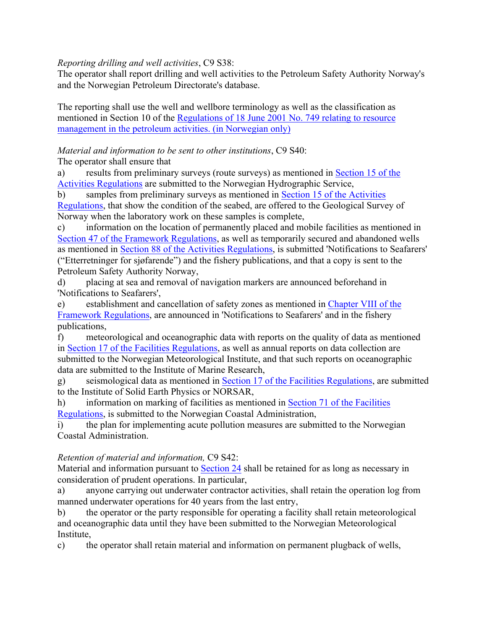## *Reporting drilling and well activities*, C9 S38:

The operator shall report drilling and well activities to the Petroleum Safety Authority Norway's and the Norwegian Petroleum Directorate's database.

The reporting shall use the well and wellbore terminology as well as the classification as mentioned in Section 10 of the Regulations of 18 June 2001 No. 749 relating to resource management in the petroleum activities. (in Norwegian only)

# *Material and information to be sent to other institutions*, C9 S40:

The operator shall ensure that

a) results from preliminary surveys (route surveys) as mentioned in Section 15 of the Activities Regulations are submitted to the Norwegian Hydrographic Service,

b) samples from preliminary surveys as mentioned in Section 15 of the Activities Regulations, that show the condition of the seabed, are offered to the Geological Survey of Norway when the laboratory work on these samples is complete,

c) information on the location of permanently placed and mobile facilities as mentioned in Section 47 of the Framework Regulations, as well as temporarily secured and abandoned wells as mentioned in Section 88 of the Activities Regulations, is submitted 'Notifications to Seafarers' ("Etterretninger for sjøfarende") and the fishery publications, and that a copy is sent to the Petroleum Safety Authority Norway,

d) placing at sea and removal of navigation markers are announced beforehand in 'Notifications to Seafarers',

e) establishment and cancellation of safety zones as mentioned in Chapter VIII of the Framework Regulations, are announced in 'Notifications to Seafarers' and in the fishery publications,

f) meteorological and oceanographic data with reports on the quality of data as mentioned in Section 17 of the Facilities Regulations, as well as annual reports on data collection are submitted to the Norwegian Meteorological Institute, and that such reports on oceanographic data are submitted to the Institute of Marine Research,

g) seismological data as mentioned in Section 17 of the Facilities Regulations, are submitted to the Institute of Solid Earth Physics or NORSAR,

h) information on marking of facilities as mentioned in Section 71 of the Facilities Regulations, is submitted to the Norwegian Coastal Administration,

i) the plan for implementing acute pollution measures are submitted to the Norwegian Coastal Administration.

## *Retention of material and information,* C9 S42:

Material and information pursuant to Section 24 shall be retained for as long as necessary in consideration of prudent operations. In particular,

a) anyone carrying out underwater contractor activities, shall retain the operation log from manned underwater operations for 40 years from the last entry,

b) the operator or the party responsible for operating a facility shall retain meteorological and oceanographic data until they have been submitted to the Norwegian Meteorological Institute,

c) the operator shall retain material and information on permanent plugback of wells,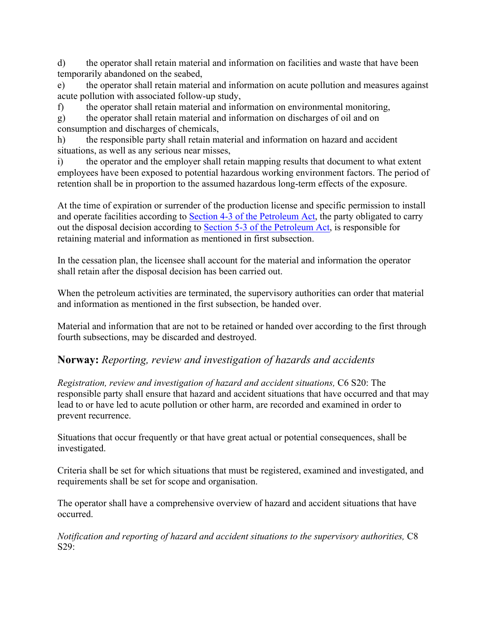d) the operator shall retain material and information on facilities and waste that have been temporarily abandoned on the seabed,

e) the operator shall retain material and information on acute pollution and measures against acute pollution with associated follow-up study,

f) the operator shall retain material and information on environmental monitoring,

g) the operator shall retain material and information on discharges of oil and on consumption and discharges of chemicals,

h) the responsible party shall retain material and information on hazard and accident situations, as well as any serious near misses,

i) the operator and the employer shall retain mapping results that document to what extent employees have been exposed to potential hazardous working environment factors. The period of retention shall be in proportion to the assumed hazardous long-term effects of the exposure.

At the time of expiration or surrender of the production license and specific permission to install and operate facilities according to Section 4-3 of the Petroleum Act, the party obligated to carry out the disposal decision according to Section 5-3 of the Petroleum Act, is responsible for retaining material and information as mentioned in first subsection.

In the cessation plan, the licensee shall account for the material and information the operator shall retain after the disposal decision has been carried out.

When the petroleum activities are terminated, the supervisory authorities can order that material and information as mentioned in the first subsection, be handed over.

Material and information that are not to be retained or handed over according to the first through fourth subsections, may be discarded and destroyed.

# **Norway:** *Reporting, review and investigation of hazards and accidents*

*Registration, review and investigation of hazard and accident situations,* C6 S20: The responsible party shall ensure that hazard and accident situations that have occurred and that may lead to or have led to acute pollution or other harm, are recorded and examined in order to prevent recurrence.

Situations that occur frequently or that have great actual or potential consequences, shall be investigated.

Criteria shall be set for which situations that must be registered, examined and investigated, and requirements shall be set for scope and organisation.

The operator shall have a comprehensive overview of hazard and accident situations that have occurred.

*Notification and reporting of hazard and accident situations to the supervisory authorities,* C8 S29: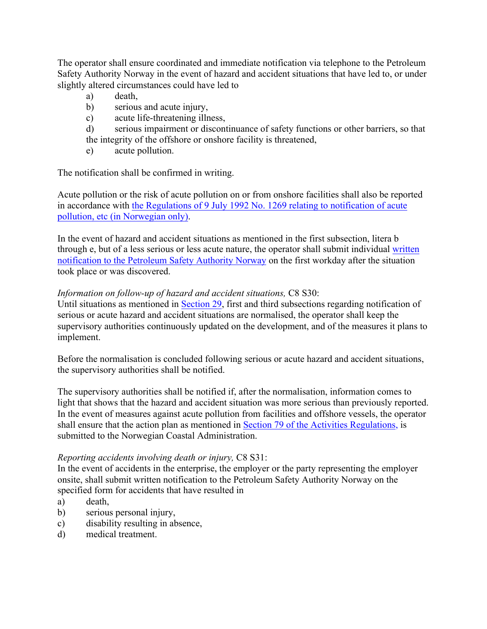The operator shall ensure coordinated and immediate notification via telephone to the Petroleum Safety Authority Norway in the event of hazard and accident situations that have led to, or under slightly altered circumstances could have led to

- a) death,
- b) serious and acute injury,
- c) acute life-threatening illness,

d) serious impairment or discontinuance of safety functions or other barriers, so that the integrity of the offshore or onshore facility is threatened,

e) acute pollution.

The notification shall be confirmed in writing.

Acute pollution or the risk of acute pollution on or from onshore facilities shall also be reported in accordance with the Regulations of 9 July 1992 No. 1269 relating to notification of acute pollution, etc (in Norwegian only).

In the event of hazard and accident situations as mentioned in the first subsection, litera b through e, but of a less serious or less acute nature, the operator shall submit individual written notification to the Petroleum Safety Authority Norway on the first workday after the situation took place or was discovered.

## *Information on follow-up of hazard and accident situations,* C8 S30:

Until situations as mentioned in Section 29, first and third subsections regarding notification of serious or acute hazard and accident situations are normalised, the operator shall keep the supervisory authorities continuously updated on the development, and of the measures it plans to implement.

Before the normalisation is concluded following serious or acute hazard and accident situations, the supervisory authorities shall be notified.

The supervisory authorities shall be notified if, after the normalisation, information comes to light that shows that the hazard and accident situation was more serious than previously reported. In the event of measures against acute pollution from facilities and offshore vessels, the operator shall ensure that the action plan as mentioned in Section 79 of the Activities Regulations, is submitted to the Norwegian Coastal Administration.

## *Reporting accidents involving death or injury,* C8 S31:

In the event of accidents in the enterprise, the employer or the party representing the employer onsite, shall submit written notification to the Petroleum Safety Authority Norway on the specified form for accidents that have resulted in

- a) death,
- b) serious personal injury,
- c) disability resulting in absence,
- d) medical treatment.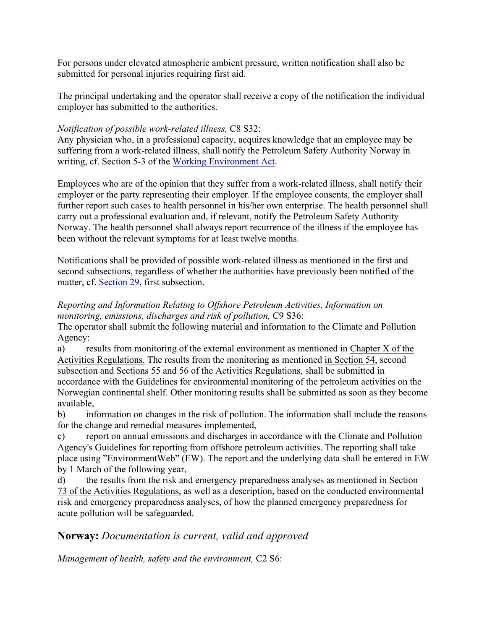For persons under elevated atmospheric ambient pressure, written notification shall also be submitted for personal injuries requiring first aid.

The principal undertaking and the operator shall receive a copy of the notification the individual employer has submitted to the authorities.

## *Notification of possible work-related illness,* C8 S32:

Any physician who, in a professional capacity, acquires knowledge that an employee may be suffering from a work-related illness, shall notify the Petroleum Safety Authority Norway in writing, cf. Section 5-3 of the Working Environment Act.

Employees who are of the opinion that they suffer from a work-related illness, shall notify their employer or the party representing their employer. If the employee consents, the employer shall further report such cases to health personnel in his/her own enterprise. The health personnel shall carry out a professional evaluation and, if relevant, notify the Petroleum Safety Authority Norway. The health personnel shall always report recurrence of the illness if the employee has been without the relevant symptoms for at least twelve months.

Notifications shall be provided of possible work-related illness as mentioned in the first and second subsections, regardless of whether the authorities have previously been notified of the matter, cf. Section 29, first subsection.

## *Reporting and Information Relating to Offshore Petroleum Activities, Information on monitoring, emissions, discharges and risk of pollution,* C9 S36:

The operator shall submit the following material and information to the Climate and Pollution Agency:

a) results from monitoring of the external environment as mentioned in Chapter X of the Activities Regulations. The results from the monitoring as mentioned in Section 54, second subsection and Sections 55 and 56 of the Activities Regulations, shall be submitted in accordance with the Guidelines for environmental monitoring of the petroleum activities on the Norwegian continental shelf. Other monitoring results shall be submitted as soon as they become available,

b) information on changes in the risk of pollution. The information shall include the reasons for the change and remedial measures implemented,

c) report on annual emissions and discharges in accordance with the Climate and Pollution Agency's Guidelines for reporting from offshore petroleum activities. The reporting shall take place using "EnvironmentWeb" (EW). The report and the underlying data shall be entered in EW by 1 March of the following year,

d) the results from the risk and emergency preparedness analyses as mentioned in Section 73 of the Activities Regulations, as well as a description, based on the conducted environmental risk and emergency preparedness analyses, of how the planned emergency preparedness for acute pollution will be safeguarded.

# **Norway:** *Documentation is current, valid and approved*

*Management of health, safety and the environment,* C2 S6: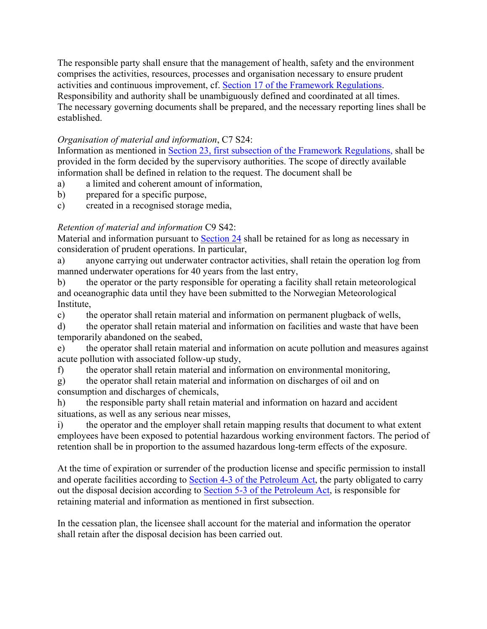The responsible party shall ensure that the management of health, safety and the environment comprises the activities, resources, processes and organisation necessary to ensure prudent activities and continuous improvement, cf. Section 17 of the Framework Regulations. Responsibility and authority shall be unambiguously defined and coordinated at all times. The necessary governing documents shall be prepared, and the necessary reporting lines shall be established.

## *Organisation of material and information*, C7 S24:

Information as mentioned in Section 23, first subsection of the Framework Regulations, shall be provided in the form decided by the supervisory authorities. The scope of directly available information shall be defined in relation to the request. The document shall be

- a) a limited and coherent amount of information,
- b) prepared for a specific purpose,
- c) created in a recognised storage media,

## *Retention of material and information* C9 S42:

Material and information pursuant to Section 24 shall be retained for as long as necessary in consideration of prudent operations. In particular,

a) anyone carrying out underwater contractor activities, shall retain the operation log from manned underwater operations for 40 years from the last entry,

b) the operator or the party responsible for operating a facility shall retain meteorological and oceanographic data until they have been submitted to the Norwegian Meteorological Institute,

c) the operator shall retain material and information on permanent plugback of wells,

d) the operator shall retain material and information on facilities and waste that have been temporarily abandoned on the seabed,

e) the operator shall retain material and information on acute pollution and measures against acute pollution with associated follow-up study,

f) the operator shall retain material and information on environmental monitoring,

- g) the operator shall retain material and information on discharges of oil and on consumption and discharges of chemicals,
- h) the responsible party shall retain material and information on hazard and accident situations, as well as any serious near misses,

i) the operator and the employer shall retain mapping results that document to what extent employees have been exposed to potential hazardous working environment factors. The period of retention shall be in proportion to the assumed hazardous long-term effects of the exposure.

At the time of expiration or surrender of the production license and specific permission to install and operate facilities according to Section 4-3 of the Petroleum Act, the party obligated to carry out the disposal decision according to Section 5-3 of the Petroleum Act, is responsible for retaining material and information as mentioned in first subsection.

In the cessation plan, the licensee shall account for the material and information the operator shall retain after the disposal decision has been carried out.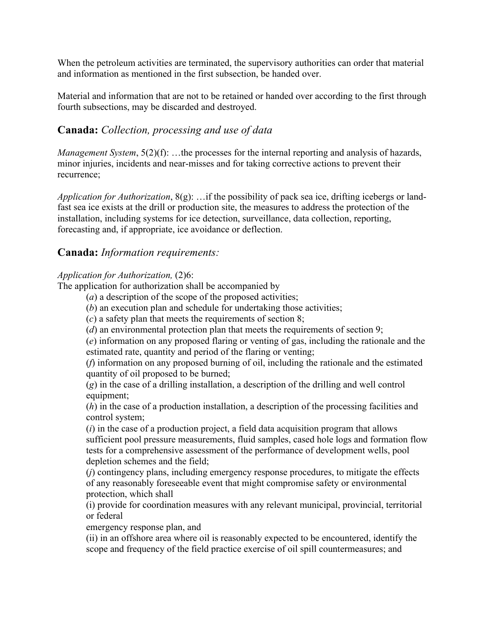When the petroleum activities are terminated, the supervisory authorities can order that material and information as mentioned in the first subsection, be handed over.

Material and information that are not to be retained or handed over according to the first through fourth subsections, may be discarded and destroyed.

# **Canada:** *Collection, processing and use of data*

*Management System*, 5(2)(f): ...the processes for the internal reporting and analysis of hazards, minor injuries, incidents and near-misses and for taking corrective actions to prevent their recurrence;

*Application for Authorization*, 8(g): …if the possibility of pack sea ice, drifting icebergs or landfast sea ice exists at the drill or production site, the measures to address the protection of the installation, including systems for ice detection, surveillance, data collection, reporting, forecasting and, if appropriate, ice avoidance or deflection.

## **Canada:** *Information requirements:*

## *Application for Authorization,* (2)6:

The application for authorization shall be accompanied by

(*a*) a description of the scope of the proposed activities;

(*b*) an execution plan and schedule for undertaking those activities;

(*c*) a safety plan that meets the requirements of section 8;

(*d*) an environmental protection plan that meets the requirements of section 9;

(*e*) information on any proposed flaring or venting of gas, including the rationale and the estimated rate, quantity and period of the flaring or venting;

(*f*) information on any proposed burning of oil, including the rationale and the estimated quantity of oil proposed to be burned;

(*g*) in the case of a drilling installation, a description of the drilling and well control equipment;

(*h*) in the case of a production installation, a description of the processing facilities and control system;

(*i*) in the case of a production project, a field data acquisition program that allows sufficient pool pressure measurements, fluid samples, cased hole logs and formation flow tests for a comprehensive assessment of the performance of development wells, pool depletion schemes and the field;

(*j*) contingency plans, including emergency response procedures, to mitigate the effects of any reasonably foreseeable event that might compromise safety or environmental protection, which shall

(i) provide for coordination measures with any relevant municipal, provincial, territorial or federal

emergency response plan, and

(ii) in an offshore area where oil is reasonably expected to be encountered, identify the scope and frequency of the field practice exercise of oil spill countermeasures; and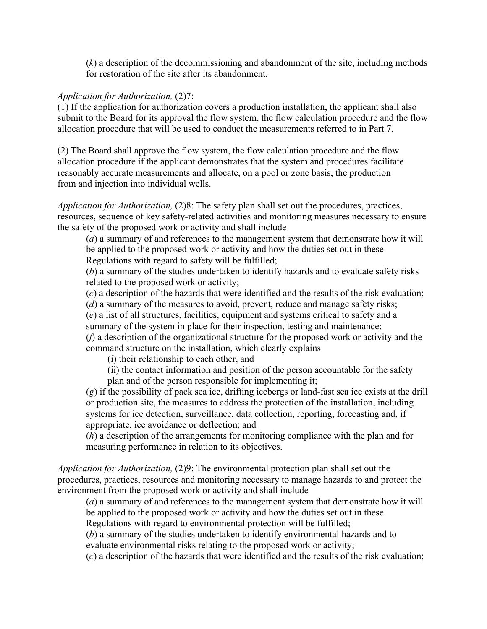(*k*) a description of the decommissioning and abandonment of the site, including methods for restoration of the site after its abandonment.

#### *Application for Authorization,* (2)7:

(1) If the application for authorization covers a production installation, the applicant shall also submit to the Board for its approval the flow system, the flow calculation procedure and the flow allocation procedure that will be used to conduct the measurements referred to in Part 7.

(2) The Board shall approve the flow system, the flow calculation procedure and the flow allocation procedure if the applicant demonstrates that the system and procedures facilitate reasonably accurate measurements and allocate, on a pool or zone basis, the production from and injection into individual wells.

*Application for Authorization,* (2)8: The safety plan shall set out the procedures, practices, resources, sequence of key safety-related activities and monitoring measures necessary to ensure the safety of the proposed work or activity and shall include

(*a*) a summary of and references to the management system that demonstrate how it will be applied to the proposed work or activity and how the duties set out in these Regulations with regard to safety will be fulfilled;

(*b*) a summary of the studies undertaken to identify hazards and to evaluate safety risks related to the proposed work or activity;

(*c*) a description of the hazards that were identified and the results of the risk evaluation;

(*d*) a summary of the measures to avoid, prevent, reduce and manage safety risks; (*e*) a list of all structures, facilities, equipment and systems critical to safety and a summary of the system in place for their inspection, testing and maintenance; (*f*) a description of the organizational structure for the proposed work or activity and the command structure on the installation, which clearly explains

(i) their relationship to each other, and

(ii) the contact information and position of the person accountable for the safety plan and of the person responsible for implementing it;

(*g*) if the possibility of pack sea ice, drifting icebergs or land-fast sea ice exists at the drill or production site, the measures to address the protection of the installation, including systems for ice detection, surveillance, data collection, reporting, forecasting and, if appropriate, ice avoidance or deflection; and

(*h*) a description of the arrangements for monitoring compliance with the plan and for measuring performance in relation to its objectives.

*Application for Authorization,* (2)9: The environmental protection plan shall set out the procedures, practices, resources and monitoring necessary to manage hazards to and protect the environment from the proposed work or activity and shall include

(*a*) a summary of and references to the management system that demonstrate how it will be applied to the proposed work or activity and how the duties set out in these

Regulations with regard to environmental protection will be fulfilled;

(*b*) a summary of the studies undertaken to identify environmental hazards and to evaluate environmental risks relating to the proposed work or activity;

(*c*) a description of the hazards that were identified and the results of the risk evaluation;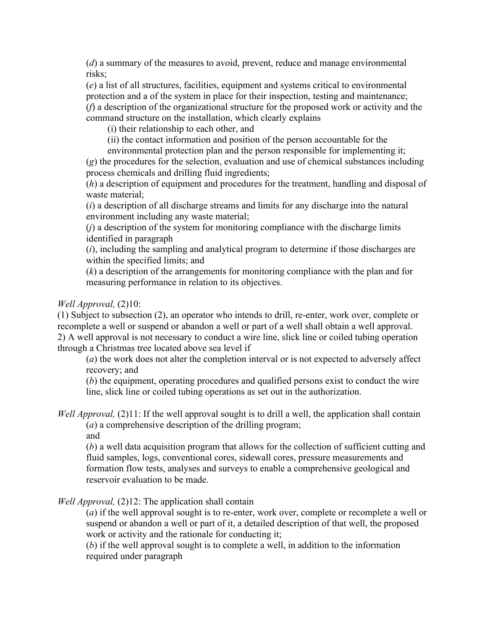(*d*) a summary of the measures to avoid, prevent, reduce and manage environmental risks;

(*e*) a list of all structures, facilities, equipment and systems critical to environmental protection and a of the system in place for their inspection, testing and maintenance; (*f*) a description of the organizational structure for the proposed work or activity and the command structure on the installation, which clearly explains

(i) their relationship to each other, and

(ii) the contact information and position of the person accountable for the

environmental protection plan and the person responsible for implementing it;

(*g*) the procedures for the selection, evaluation and use of chemical substances including process chemicals and drilling fluid ingredients;

(*h*) a description of equipment and procedures for the treatment, handling and disposal of waste material;

(*i*) a description of all discharge streams and limits for any discharge into the natural environment including any waste material;

(*j*) a description of the system for monitoring compliance with the discharge limits identified in paragraph

(*i*), including the sampling and analytical program to determine if those discharges are within the specified limits; and

(*k*) a description of the arrangements for monitoring compliance with the plan and for measuring performance in relation to its objectives.

## *Well Approval,* (2)10:

(1) Subject to subsection (2), an operator who intends to drill, re-enter, work over, complete or recomplete a well or suspend or abandon a well or part of a well shall obtain a well approval. 2) A well approval is not necessary to conduct a wire line, slick line or coiled tubing operation through a Christmas tree located above sea level if

(*a*) the work does not alter the completion interval or is not expected to adversely affect recovery; and

(*b*) the equipment, operating procedures and qualified persons exist to conduct the wire line, slick line or coiled tubing operations as set out in the authorization.

*Well Approval,* (2)11: If the well approval sought is to drill a well, the application shall contain (*a*) a comprehensive description of the drilling program;

and

(*b*) a well data acquisition program that allows for the collection of sufficient cutting and fluid samples, logs, conventional cores, sidewall cores, pressure measurements and formation flow tests, analyses and surveys to enable a comprehensive geological and reservoir evaluation to be made.

*Well Approval,* (2)12: The application shall contain

(*a*) if the well approval sought is to re-enter, work over, complete or recomplete a well or suspend or abandon a well or part of it, a detailed description of that well, the proposed work or activity and the rationale for conducting it;

(*b*) if the well approval sought is to complete a well, in addition to the information required under paragraph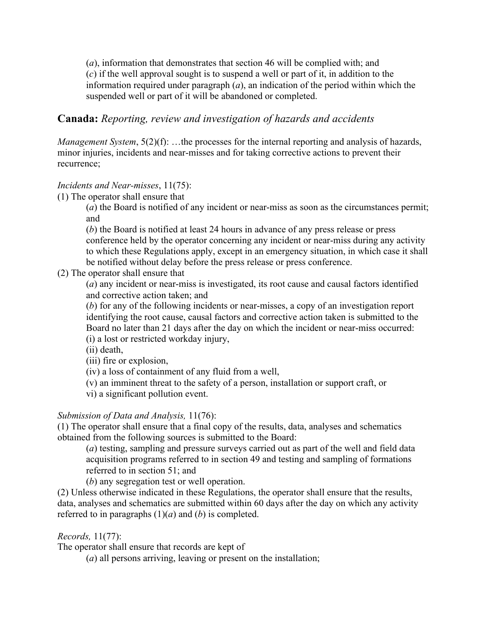(*a*), information that demonstrates that section 46 will be complied with; and (*c*) if the well approval sought is to suspend a well or part of it, in addition to the information required under paragraph (*a*), an indication of the period within which the suspended well or part of it will be abandoned or completed.

## **Canada:** *Reporting, review and investigation of hazards and accidents*

*Management System*, 5(2)(f): ...the processes for the internal reporting and analysis of hazards, minor injuries, incidents and near-misses and for taking corrective actions to prevent their recurrence;

## *Incidents and Near-misses*, 11(75):

(1) The operator shall ensure that

(*a*) the Board is notified of any incident or near-miss as soon as the circumstances permit; and

(*b*) the Board is notified at least 24 hours in advance of any press release or press conference held by the operator concerning any incident or near-miss during any activity to which these Regulations apply, except in an emergency situation, in which case it shall be notified without delay before the press release or press conference.

#### (2) The operator shall ensure that

(*a*) any incident or near-miss is investigated, its root cause and causal factors identified and corrective action taken; and

(*b*) for any of the following incidents or near-misses, a copy of an investigation report identifying the root cause, causal factors and corrective action taken is submitted to the Board no later than 21 days after the day on which the incident or near-miss occurred: (i) a lost or restricted workday injury,

(ii) death,

(iii) fire or explosion,

(iv) a loss of containment of any fluid from a well,

(v) an imminent threat to the safety of a person, installation or support craft, or

vi) a significant pollution event.

## *Submission of Data and Analysis,* 11(76):

(1) The operator shall ensure that a final copy of the results, data, analyses and schematics obtained from the following sources is submitted to the Board:

(*a*) testing, sampling and pressure surveys carried out as part of the well and field data acquisition programs referred to in section 49 and testing and sampling of formations referred to in section 51; and

(*b*) any segregation test or well operation.

(2) Unless otherwise indicated in these Regulations, the operator shall ensure that the results, data, analyses and schematics are submitted within 60 days after the day on which any activity referred to in paragraphs (1)(*a*) and (*b*) is completed.

## *Records,* 11(77):

The operator shall ensure that records are kept of

(*a*) all persons arriving, leaving or present on the installation;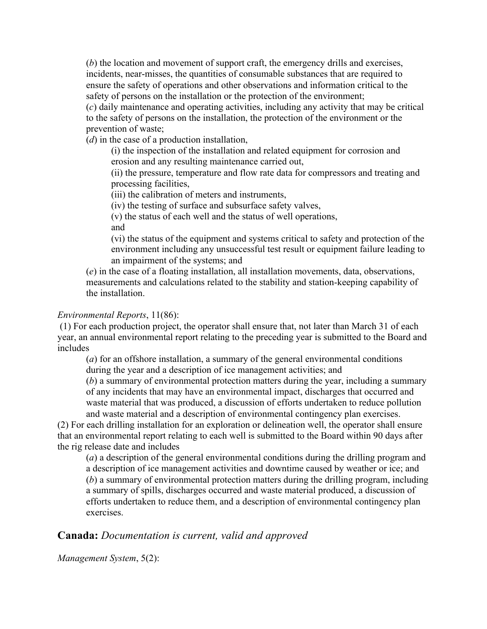(*b*) the location and movement of support craft, the emergency drills and exercises, incidents, near-misses, the quantities of consumable substances that are required to ensure the safety of operations and other observations and information critical to the safety of persons on the installation or the protection of the environment;

(*c*) daily maintenance and operating activities, including any activity that may be critical to the safety of persons on the installation, the protection of the environment or the prevention of waste;

(*d*) in the case of a production installation,

(i) the inspection of the installation and related equipment for corrosion and erosion and any resulting maintenance carried out,

(ii) the pressure, temperature and flow rate data for compressors and treating and processing facilities,

(iii) the calibration of meters and instruments,

(iv) the testing of surface and subsurface safety valves,

(v) the status of each well and the status of well operations, and

(vi) the status of the equipment and systems critical to safety and protection of the environment including any unsuccessful test result or equipment failure leading to an impairment of the systems; and

(*e*) in the case of a floating installation, all installation movements, data, observations, measurements and calculations related to the stability and station-keeping capability of the installation.

#### *Environmental Reports*, 11(86):

(1) For each production project, the operator shall ensure that, not later than March 31 of each year, an annual environmental report relating to the preceding year is submitted to the Board and includes

(*a*) for an offshore installation, a summary of the general environmental conditions during the year and a description of ice management activities; and

(*b*) a summary of environmental protection matters during the year, including a summary of any incidents that may have an environmental impact, discharges that occurred and waste material that was produced, a discussion of efforts undertaken to reduce pollution and waste material and a description of environmental contingency plan exercises.

(2) For each drilling installation for an exploration or delineation well, the operator shall ensure that an environmental report relating to each well is submitted to the Board within 90 days after the rig release date and includes

(*a*) a description of the general environmental conditions during the drilling program and a description of ice management activities and downtime caused by weather or ice; and (*b*) a summary of environmental protection matters during the drilling program, including a summary of spills, discharges occurred and waste material produced, a discussion of efforts undertaken to reduce them, and a description of environmental contingency plan exercises.

#### **Canada:** *Documentation is current, valid and approved*

*Management System*, 5(2):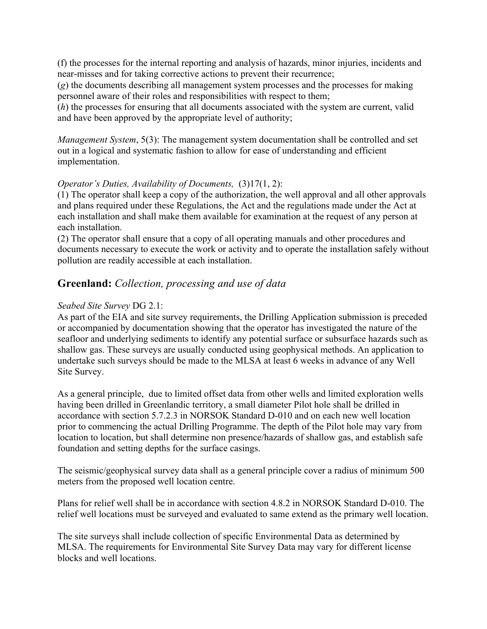(f) the processes for the internal reporting and analysis of hazards, minor injuries, incidents and near-misses and for taking corrective actions to prevent their recurrence;

(*g*) the documents describing all management system processes and the processes for making personnel aware of their roles and responsibilities with respect to them;

(*h*) the processes for ensuring that all documents associated with the system are current, valid and have been approved by the appropriate level of authority;

*Management System,* 5(3): The management system documentation shall be controlled and set out in a logical and systematic fashion to allow for ease of understanding and efficient implementation.

## *Operator's Duties, Availability of Documents,* (3)17(1, 2):

(1) The operator shall keep a copy of the authorization, the well approval and all other approvals and plans required under these Regulations, the Act and the regulations made under the Act at each installation and shall make them available for examination at the request of any person at each installation.

(2) The operator shall ensure that a copy of all operating manuals and other procedures and documents necessary to execute the work or activity and to operate the installation safely without pollution are readily accessible at each installation.

# **Greenland:** *Collection, processing and use of data*

## *Seabed Site Survey* DG 2.1:

As part of the EIA and site survey requirements, the Drilling Application submission is preceded or accompanied by documentation showing that the operator has investigated the nature of the seafloor and underlying sediments to identify any potential surface or subsurface hazards such as shallow gas. These surveys are usually conducted using geophysical methods. An application to undertake such surveys should be made to the MLSA at least 6 weeks in advance of any Well Site Survey.

As a general principle, due to limited offset data from other wells and limited exploration wells having been drilled in Greenlandic territory, a small diameter Pilot hole shall be drilled in accordance with section 5.7.2.3 in NORSOK Standard D-010 and on each new well location prior to commencing the actual Drilling Programme. The depth of the Pilot hole may vary from location to location, but shall determine non presence/hazards of shallow gas, and establish safe foundation and setting depths for the surface casings.

The seismic/geophysical survey data shall as a general principle cover a radius of minimum 500 meters from the proposed well location centre.

Plans for relief well shall be in accordance with section 4.8.2 in NORSOK Standard D-010. The relief well locations must be surveyed and evaluated to same extend as the primary well location.

The site surveys shall include collection of specific Environmental Data as determined by MLSA. The requirements for Environmental Site Survey Data may vary for different license blocks and well locations.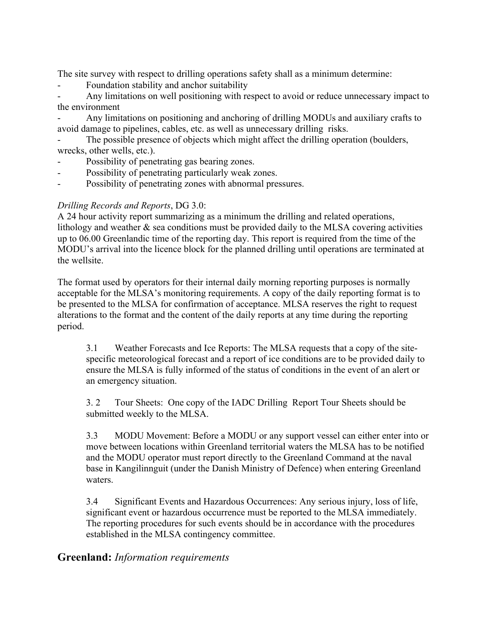The site survey with respect to drilling operations safety shall as a minimum determine:

- Foundation stability and anchor suitability

Any limitations on well positioning with respect to avoid or reduce unnecessary impact to the environment

- Any limitations on positioning and anchoring of drilling MODUs and auxiliary crafts to avoid damage to pipelines, cables, etc. as well as unnecessary drilling risks.

The possible presence of objects which might affect the drilling operation (boulders, wrecks, other wells, etc.).

- Possibility of penetrating gas bearing zones.
- Possibility of penetrating particularly weak zones.
- Possibility of penetrating zones with abnormal pressures.

## *Drilling Records and Reports*, DG 3.0:

A 24 hour activity report summarizing as a minimum the drilling and related operations, lithology and weather & sea conditions must be provided daily to the MLSA covering activities up to 06.00 Greenlandic time of the reporting day. This report is required from the time of the MODU's arrival into the licence block for the planned drilling until operations are terminated at the wellsite.

The format used by operators for their internal daily morning reporting purposes is normally acceptable for the MLSA's monitoring requirements. A copy of the daily reporting format is to be presented to the MLSA for confirmation of acceptance. MLSA reserves the right to request alterations to the format and the content of the daily reports at any time during the reporting period.

3.1 Weather Forecasts and Ice Reports: The MLSA requests that a copy of the sitespecific meteorological forecast and a report of ice conditions are to be provided daily to ensure the MLSA is fully informed of the status of conditions in the event of an alert or an emergency situation.

3. 2 Tour Sheets: One copy of the IADC Drilling Report Tour Sheets should be submitted weekly to the MLSA.

3.3 MODU Movement: Before a MODU or any support vessel can either enter into or move between locations within Greenland territorial waters the MLSA has to be notified and the MODU operator must report directly to the Greenland Command at the naval base in Kangilinnguit (under the Danish Ministry of Defence) when entering Greenland waters.

3.4 Significant Events and Hazardous Occurrences: Any serious injury, loss of life, significant event or hazardous occurrence must be reported to the MLSA immediately. The reporting procedures for such events should be in accordance with the procedures established in the MLSA contingency committee.

## **Greenland:** *Information requirements*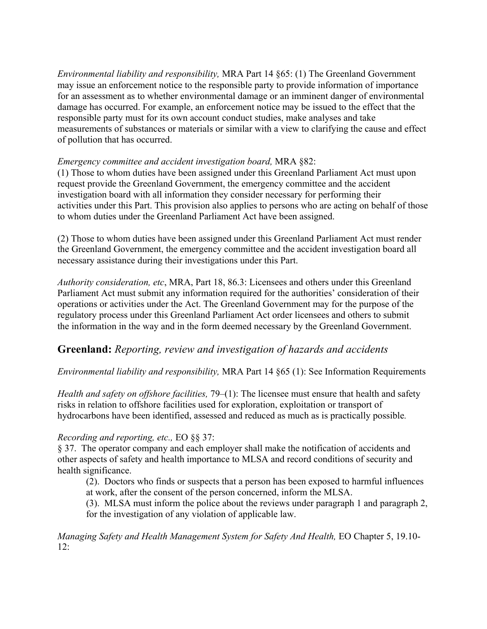*Environmental liability and responsibility,* MRA Part 14 §65: (1) The Greenland Government may issue an enforcement notice to the responsible party to provide information of importance for an assessment as to whether environmental damage or an imminent danger of environmental damage has occurred. For example, an enforcement notice may be issued to the effect that the responsible party must for its own account conduct studies, make analyses and take measurements of substances or materials or similar with a view to clarifying the cause and effect of pollution that has occurred.

#### *Emergency committee and accident investigation board,* MRA §82:

(1) Those to whom duties have been assigned under this Greenland Parliament Act must upon request provide the Greenland Government, the emergency committee and the accident investigation board with all information they consider necessary for performing their activities under this Part. This provision also applies to persons who are acting on behalf of those to whom duties under the Greenland Parliament Act have been assigned.

(2) Those to whom duties have been assigned under this Greenland Parliament Act must render the Greenland Government, the emergency committee and the accident investigation board all necessary assistance during their investigations under this Part.

*Authority consideration, etc*, MRA, Part 18, 86.3: Licensees and others under this Greenland Parliament Act must submit any information required for the authorities' consideration of their operations or activities under the Act. The Greenland Government may for the purpose of the regulatory process under this Greenland Parliament Act order licensees and others to submit the information in the way and in the form deemed necessary by the Greenland Government.

## **Greenland:** *Reporting, review and investigation of hazards and accidents*

## *Environmental liability and responsibility,* MRA Part 14 §65 (1): See Information Requirements

*Health and safety on offshore facilities,* 79–(1): The licensee must ensure that health and safety risks in relation to offshore facilities used for exploration, exploitation or transport of hydrocarbons have been identified, assessed and reduced as much as is practically possible*.*

#### *Recording and reporting, etc.,* EO §§ 37:

§ 37. The operator company and each employer shall make the notification of accidents and other aspects of safety and health importance to MLSA and record conditions of security and health significance.

(2). Doctors who finds or suspects that a person has been exposed to harmful influences at work, after the consent of the person concerned, inform the MLSA.

(3). MLSA must inform the police about the reviews under paragraph 1 and paragraph 2, for the investigation of any violation of applicable law.

*Managing Safety and Health Management System for Safety And Health,* EO Chapter 5, 19.10- 12: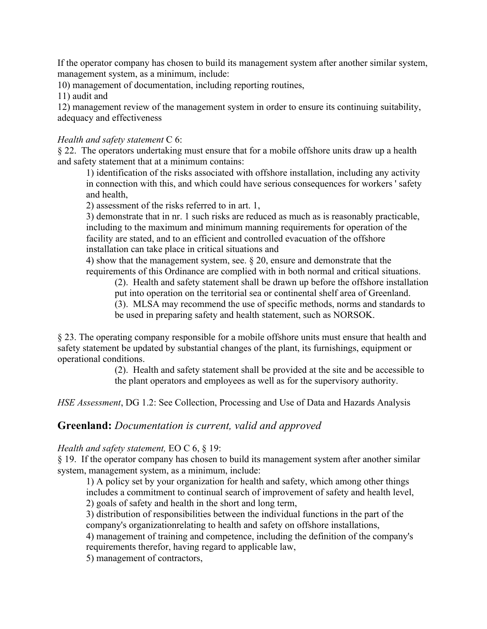If the operator company has chosen to build its management system after another similar system, management system, as a minimum, include:

10) management of documentation, including reporting routines,

11) audit and

12) management review of the management system in order to ensure its continuing suitability, adequacy and effectiveness

#### *Health and safety statement* C 6:

§ 22. The operators undertaking must ensure that for a mobile offshore units draw up a health and safety statement that at a minimum contains:

1) identification of the risks associated with offshore installation, including any activity in connection with this, and which could have serious consequences for workers ' safety and health,

2) assessment of the risks referred to in art. 1,

3) demonstrate that in nr. 1 such risks are reduced as much as is reasonably practicable, including to the maximum and minimum manning requirements for operation of the facility are stated, and to an efficient and controlled evacuation of the offshore installation can take place in critical situations and

4) show that the management system, see. § 20, ensure and demonstrate that the requirements of this Ordinance are complied with in both normal and critical situations.

(2). Health and safety statement shall be drawn up before the offshore installation put into operation on the territorial sea or continental shelf area of Greenland.

(3). MLSA may recommend the use of specific methods, norms and standards to be used in preparing safety and health statement, such as NORSOK.

§ 23. The operating company responsible for a mobile offshore units must ensure that health and safety statement be updated by substantial changes of the plant, its furnishings, equipment or operational conditions.

(2). Health and safety statement shall be provided at the site and be accessible to the plant operators and employees as well as for the supervisory authority.

*HSE Assessment*, DG 1.2: See Collection, Processing and Use of Data and Hazards Analysis

## **Greenland:** *Documentation is current, valid and approved*

*Health and safety statement,* EO C 6, § 19:

§ 19. If the operator company has chosen to build its management system after another similar system, management system, as a minimum, include:

1) A policy set by your organization for health and safety, which among other things includes a commitment to continual search of improvement of safety and health level,

2) goals of safety and health in the short and long term,

3) distribution of responsibilities between the individual functions in the part of the company's organizationrelating to health and safety on offshore installations,

4) management of training and competence, including the definition of the company's requirements therefor, having regard to applicable law,

5) management of contractors,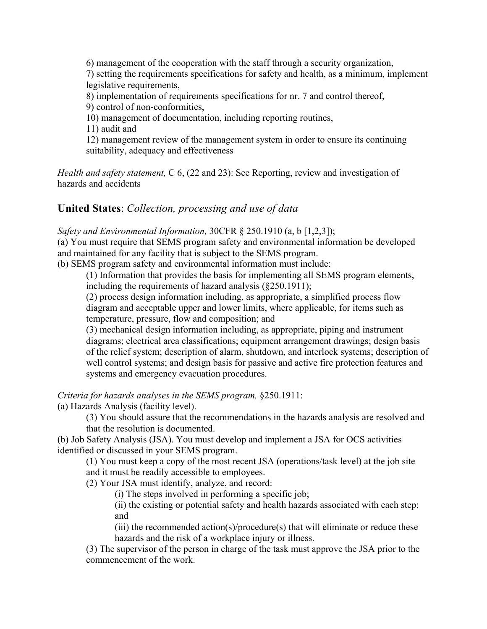6) management of the cooperation with the staff through a security organization,

7) setting the requirements specifications for safety and health, as a minimum, implement legislative requirements,

8) implementation of requirements specifications for nr. 7 and control thereof,

9) control of non-conformities,

10) management of documentation, including reporting routines,

11) audit and

12) management review of the management system in order to ensure its continuing suitability, adequacy and effectiveness

*Health and safety statement,* C 6, (22 and 23): See Reporting, review and investigation of hazards and accidents

# **United States**: *Collection, processing and use of data*

## *Safety and Environmental Information,* 30CFR § 250.1910 (a, b [1,2,3]);

(a) You must require that SEMS program safety and environmental information be developed and maintained for any facility that is subject to the SEMS program.

(b) SEMS program safety and environmental information must include:

(1) Information that provides the basis for implementing all SEMS program elements, including the requirements of hazard analysis (§250.1911);

(2) process design information including, as appropriate, a simplified process flow diagram and acceptable upper and lower limits, where applicable, for items such as temperature, pressure, flow and composition; and

(3) mechanical design information including, as appropriate, piping and instrument diagrams; electrical area classifications; equipment arrangement drawings; design basis of the relief system; description of alarm, shutdown, and interlock systems; description of well control systems; and design basis for passive and active fire protection features and systems and emergency evacuation procedures.

*Criteria for hazards analyses in the SEMS program,* §250.1911:

(a) Hazards Analysis (facility level).

(3) You should assure that the recommendations in the hazards analysis are resolved and that the resolution is documented.

(b) Job Safety Analysis (JSA). You must develop and implement a JSA for OCS activities identified or discussed in your SEMS program.

(1) You must keep a copy of the most recent JSA (operations/task level) at the job site and it must be readily accessible to employees.

(2) Your JSA must identify, analyze, and record:

(i) The steps involved in performing a specific job;

(ii) the existing or potential safety and health hazards associated with each step; and

(iii) the recommended action(s)/procedure(s) that will eliminate or reduce these hazards and the risk of a workplace injury or illness.

(3) The supervisor of the person in charge of the task must approve the JSA prior to the commencement of the work.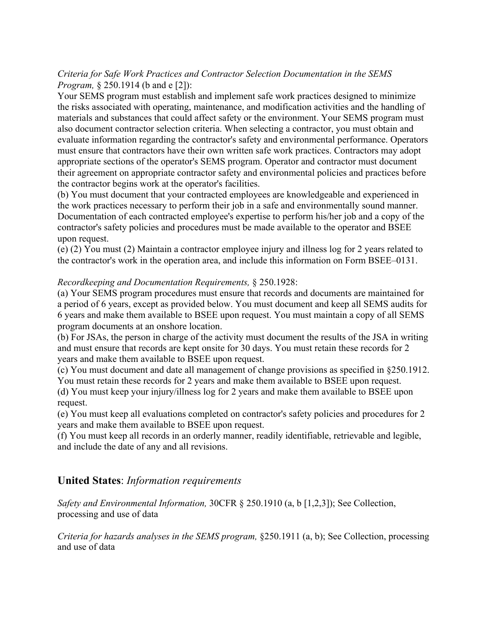*Criteria for Safe Work Practices and Contractor Selection Documentation in the SEMS Program, §* 250.1914 (b and e [2]):

Your SEMS program must establish and implement safe work practices designed to minimize the risks associated with operating, maintenance, and modification activities and the handling of materials and substances that could affect safety or the environment. Your SEMS program must also document contractor selection criteria. When selecting a contractor, you must obtain and evaluate information regarding the contractor's safety and environmental performance. Operators must ensure that contractors have their own written safe work practices. Contractors may adopt appropriate sections of the operator's SEMS program. Operator and contractor must document their agreement on appropriate contractor safety and environmental policies and practices before the contractor begins work at the operator's facilities.

(b) You must document that your contracted employees are knowledgeable and experienced in the work practices necessary to perform their job in a safe and environmentally sound manner. Documentation of each contracted employee's expertise to perform his/her job and a copy of the contractor's safety policies and procedures must be made available to the operator and BSEE upon request.

(e) (2) You must (2) Maintain a contractor employee injury and illness log for 2 years related to the contractor's work in the operation area, and include this information on Form BSEE–0131.

#### *Recordkeeping and Documentation Requirements,* § 250.1928:

(a) Your SEMS program procedures must ensure that records and documents are maintained for a period of 6 years, except as provided below. You must document and keep all SEMS audits for 6 years and make them available to BSEE upon request. You must maintain a copy of all SEMS program documents at an onshore location.

(b) For JSAs, the person in charge of the activity must document the results of the JSA in writing and must ensure that records are kept onsite for 30 days. You must retain these records for 2 years and make them available to BSEE upon request.

(c) You must document and date all management of change provisions as specified in §250.1912. You must retain these records for 2 years and make them available to BSEE upon request.

(d) You must keep your injury/illness log for 2 years and make them available to BSEE upon request.

(e) You must keep all evaluations completed on contractor's safety policies and procedures for 2 years and make them available to BSEE upon request.

(f) You must keep all records in an orderly manner, readily identifiable, retrievable and legible, and include the date of any and all revisions.

## **United States**: *Information requirements*

*Safety and Environmental Information,* 30CFR § 250.1910 (a, b [1,2,3]); See Collection, processing and use of data

*Criteria for hazards analyses in the SEMS program,* §250.1911 (a, b); See Collection, processing and use of data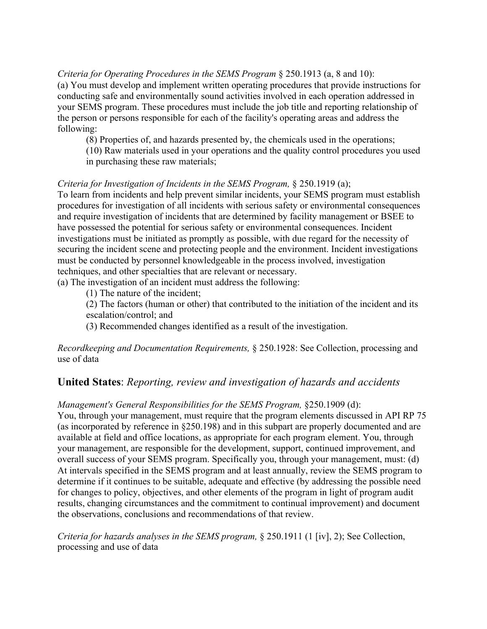*Criteria for Operating Procedures in the SEMS Program* § 250.1913 (a, 8 and 10): (a) You must develop and implement written operating procedures that provide instructions for conducting safe and environmentally sound activities involved in each operation addressed in your SEMS program. These procedures must include the job title and reporting relationship of the person or persons responsible for each of the facility's operating areas and address the following:

(8) Properties of, and hazards presented by, the chemicals used in the operations;

(10) Raw materials used in your operations and the quality control procedures you used in purchasing these raw materials;

#### *Criteria for Investigation of Incidents in the SEMS Program,* § 250.1919 (a);

To learn from incidents and help prevent similar incidents, your SEMS program must establish procedures for investigation of all incidents with serious safety or environmental consequences and require investigation of incidents that are determined by facility management or BSEE to have possessed the potential for serious safety or environmental consequences. Incident investigations must be initiated as promptly as possible, with due regard for the necessity of securing the incident scene and protecting people and the environment. Incident investigations must be conducted by personnel knowledgeable in the process involved, investigation techniques, and other specialties that are relevant or necessary.

(a) The investigation of an incident must address the following:

(1) The nature of the incident;

(2) The factors (human or other) that contributed to the initiation of the incident and its escalation/control; and

(3) Recommended changes identified as a result of the investigation.

*Recordkeeping and Documentation Requirements,* § 250.1928: See Collection, processing and use of data

## **United States**: *Reporting, review and investigation of hazards and accidents*

*Management's General Responsibilities for the SEMS Program,* §250.1909 (d):

You, through your management, must require that the program elements discussed in API RP 75 (as incorporated by reference in §250.198) and in this subpart are properly documented and are available at field and office locations, as appropriate for each program element. You, through your management, are responsible for the development, support, continued improvement, and overall success of your SEMS program. Specifically you, through your management, must: (d) At intervals specified in the SEMS program and at least annually, review the SEMS program to determine if it continues to be suitable, adequate and effective (by addressing the possible need for changes to policy, objectives, and other elements of the program in light of program audit results, changing circumstances and the commitment to continual improvement) and document the observations, conclusions and recommendations of that review.

*Criteria for hazards analyses in the SEMS program,* § 250.1911 (1 [iv], 2); See Collection, processing and use of data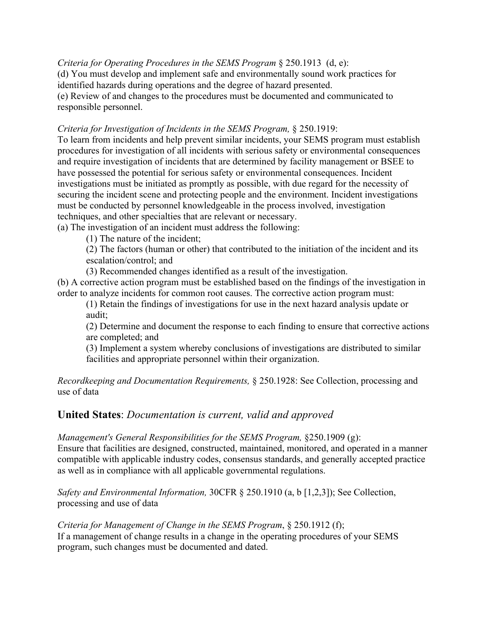*Criteria for Operating Procedures in the SEMS Program* § 250.1913 (d, e): (d) You must develop and implement safe and environmentally sound work practices for identified hazards during operations and the degree of hazard presented. (e) Review of and changes to the procedures must be documented and communicated to responsible personnel.

#### *Criteria for Investigation of Incidents in the SEMS Program,* § 250.1919:

To learn from incidents and help prevent similar incidents, your SEMS program must establish procedures for investigation of all incidents with serious safety or environmental consequences and require investigation of incidents that are determined by facility management or BSEE to have possessed the potential for serious safety or environmental consequences. Incident investigations must be initiated as promptly as possible, with due regard for the necessity of securing the incident scene and protecting people and the environment. Incident investigations must be conducted by personnel knowledgeable in the process involved, investigation techniques, and other specialties that are relevant or necessary.

(a) The investigation of an incident must address the following:

(1) The nature of the incident;

(2) The factors (human or other) that contributed to the initiation of the incident and its escalation/control; and

(3) Recommended changes identified as a result of the investigation.

(b) A corrective action program must be established based on the findings of the investigation in order to analyze incidents for common root causes. The corrective action program must:

(1) Retain the findings of investigations for use in the next hazard analysis update or audit;

(2) Determine and document the response to each finding to ensure that corrective actions are completed; and

(3) Implement a system whereby conclusions of investigations are distributed to similar facilities and appropriate personnel within their organization.

*Recordkeeping and Documentation Requirements,* § 250.1928: See Collection, processing and use of data

## **United States**: *Documentation is current, valid and approved*

*Management's General Responsibilities for the SEMS Program,* §250.1909 (g): Ensure that facilities are designed, constructed, maintained, monitored, and operated in a manner compatible with applicable industry codes, consensus standards, and generally accepted practice as well as in compliance with all applicable governmental regulations.

*Safety and Environmental Information,* 30CFR § 250.1910 (a, b [1,2,3]); See Collection, processing and use of data

*Criteria for Management of Change in the SEMS Program*, § 250.1912 (f); If a management of change results in a change in the operating procedures of your SEMS program, such changes must be documented and dated.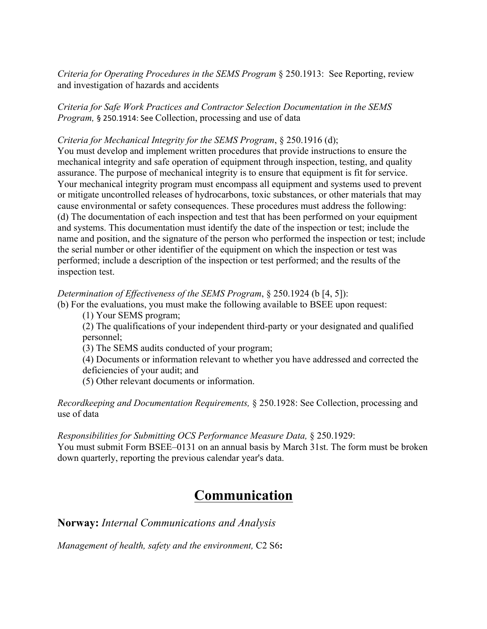*Criteria for Operating Procedures in the SEMS Program* § 250.1913: See Reporting, review and investigation of hazards and accidents

*Criteria for Safe Work Practices and Contractor Selection Documentation in the SEMS Program,* § 250.1914: See Collection, processing and use of data

## *Criteria for Mechanical Integrity for the SEMS Program*, § 250.1916 (d);

You must develop and implement written procedures that provide instructions to ensure the mechanical integrity and safe operation of equipment through inspection, testing, and quality assurance. The purpose of mechanical integrity is to ensure that equipment is fit for service. Your mechanical integrity program must encompass all equipment and systems used to prevent or mitigate uncontrolled releases of hydrocarbons, toxic substances, or other materials that may cause environmental or safety consequences. These procedures must address the following: (d) The documentation of each inspection and test that has been performed on your equipment and systems. This documentation must identify the date of the inspection or test; include the name and position, and the signature of the person who performed the inspection or test; include the serial number or other identifier of the equipment on which the inspection or test was performed; include a description of the inspection or test performed; and the results of the inspection test.

## *Determination of Effectiveness of the SEMS Program*, § 250.1924 (b [4, 5]):

(b) For the evaluations, you must make the following available to BSEE upon request:

(1) Your SEMS program;

(2) The qualifications of your independent third-party or your designated and qualified personnel;

(3) The SEMS audits conducted of your program;

(4) Documents or information relevant to whether you have addressed and corrected the deficiencies of your audit; and

(5) Other relevant documents or information.

*Recordkeeping and Documentation Requirements,* § 250.1928: See Collection, processing and use of data

*Responsibilities for Submitting OCS Performance Measure Data,* § 250.1929:

You must submit Form BSEE–0131 on an annual basis by March 31st. The form must be broken down quarterly, reporting the previous calendar year's data.

# **Communication**

**Norway:** *Internal Communications and Analysis* 

*Management of health, safety and the environment,* C2 S6**:**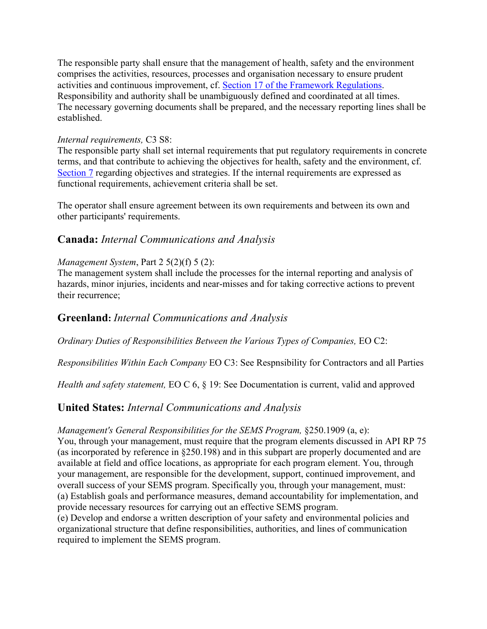The responsible party shall ensure that the management of health, safety and the environment comprises the activities, resources, processes and organisation necessary to ensure prudent activities and continuous improvement, cf. Section 17 of the Framework Regulations. Responsibility and authority shall be unambiguously defined and coordinated at all times. The necessary governing documents shall be prepared, and the necessary reporting lines shall be established.

## *Internal requirements,* C3 S8:

The responsible party shall set internal requirements that put regulatory requirements in concrete terms, and that contribute to achieving the objectives for health, safety and the environment, cf. Section 7 regarding objectives and strategies. If the internal requirements are expressed as functional requirements, achievement criteria shall be set.

The operator shall ensure agreement between its own requirements and between its own and other participants' requirements.

## **Canada:** *Internal Communications and Analysis*

## *Management System*, Part 2 5(2)(f) 5 (2):

The management system shall include the processes for the internal reporting and analysis of hazards, minor injuries, incidents and near-misses and for taking corrective actions to prevent their recurrence;

## **Greenland:** *Internal Communications and Analysis*

*Ordinary Duties of Responsibilities Between the Various Types of Companies,* EO C2:

*Responsibilities Within Each Company* EO C3: See Respnsibility for Contractors and all Parties

*Health and safety statement, EO C 6, § 19: See Documentation is current, valid and approved* 

# **United States:** *Internal Communications and Analysis*

## *Management's General Responsibilities for the SEMS Program,* §250.1909 (a, e):

You, through your management, must require that the program elements discussed in API RP 75 (as incorporated by reference in §250.198) and in this subpart are properly documented and are available at field and office locations, as appropriate for each program element. You, through your management, are responsible for the development, support, continued improvement, and overall success of your SEMS program. Specifically you, through your management, must: (a) Establish goals and performance measures, demand accountability for implementation, and provide necessary resources for carrying out an effective SEMS program.

(e) Develop and endorse a written description of your safety and environmental policies and organizational structure that define responsibilities, authorities, and lines of communication required to implement the SEMS program.